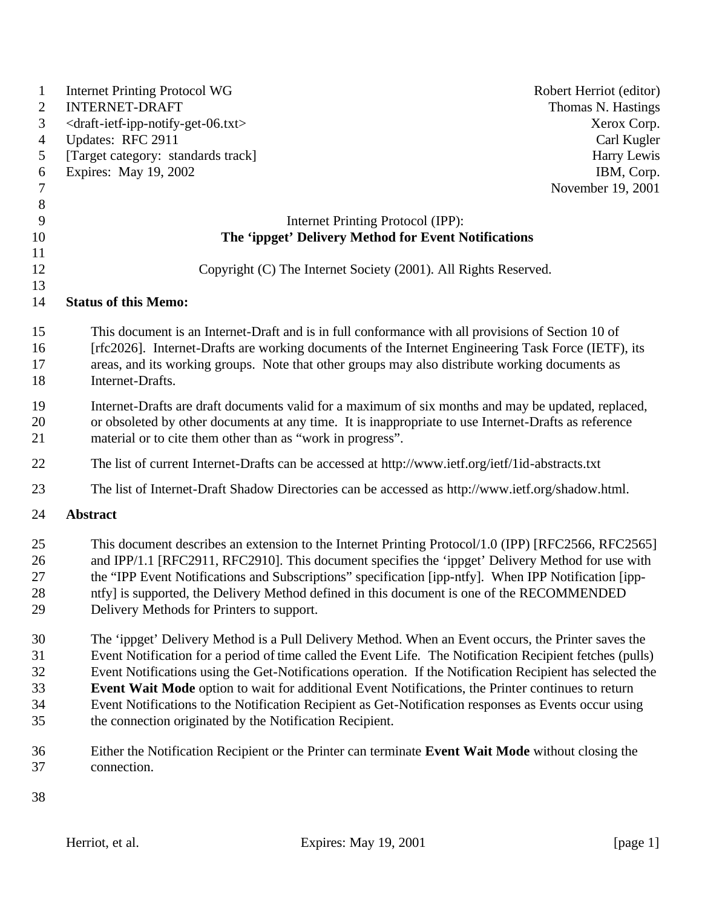| $\mathbf{1}$         | <b>Internet Printing Protocol WG</b>                                                                                                                                                                                                                                                                                            | Robert Herriot (editor) |
|----------------------|---------------------------------------------------------------------------------------------------------------------------------------------------------------------------------------------------------------------------------------------------------------------------------------------------------------------------------|-------------------------|
| 2                    | <b>INTERNET-DRAFT</b>                                                                                                                                                                                                                                                                                                           | Thomas N. Hastings      |
| 3                    | <draft-ietf-ipp-notify-get-06.txt></draft-ietf-ipp-notify-get-06.txt>                                                                                                                                                                                                                                                           | Xerox Corp.             |
| $\overline{4}$       | Updates: RFC 2911                                                                                                                                                                                                                                                                                                               | Carl Kugler             |
| 5                    | [Target category: standards track]                                                                                                                                                                                                                                                                                              | Harry Lewis             |
| 6                    | Expires: May 19, 2002                                                                                                                                                                                                                                                                                                           | IBM, Corp.              |
| $\tau$               |                                                                                                                                                                                                                                                                                                                                 | November 19, 2001       |
| $\,8\,$              |                                                                                                                                                                                                                                                                                                                                 |                         |
| 9                    | Internet Printing Protocol (IPP):                                                                                                                                                                                                                                                                                               |                         |
| 10                   | The 'ippget' Delivery Method for Event Notifications                                                                                                                                                                                                                                                                            |                         |
| 11                   |                                                                                                                                                                                                                                                                                                                                 |                         |
| 12                   | Copyright (C) The Internet Society (2001). All Rights Reserved.                                                                                                                                                                                                                                                                 |                         |
| 13                   |                                                                                                                                                                                                                                                                                                                                 |                         |
| 14                   | <b>Status of this Memo:</b>                                                                                                                                                                                                                                                                                                     |                         |
| 15<br>16<br>17<br>18 | This document is an Internet-Draft and is in full conformance with all provisions of Section 10 of<br>[rfc2026]. Internet-Drafts are working documents of the Internet Engineering Task Force (IETF), its<br>areas, and its working groups. Note that other groups may also distribute working documents as<br>Internet-Drafts. |                         |
| 19<br>20<br>21       | Internet-Drafts are draft documents valid for a maximum of six months and may be updated, replaced,<br>or obsoleted by other documents at any time. It is inappropriate to use Internet-Drafts as reference<br>material or to cite them other than as "work in progress".                                                       |                         |
| 22                   | The list of current Internet-Drafts can be accessed at http://www.ietf.org/ietf/1id-abstracts.txt                                                                                                                                                                                                                               |                         |
| 23                   | The list of Internet-Draft Shadow Directories can be accessed as http://www.ietf.org/shadow.html.                                                                                                                                                                                                                               |                         |
| 24                   | <b>Abstract</b>                                                                                                                                                                                                                                                                                                                 |                         |
| 25                   | This document describes an extension to the Internet Printing Protocol/1.0 (IPP) [RFC2566, RFC2565]                                                                                                                                                                                                                             |                         |
| 26                   | and IPP/1.1 [RFC2911, RFC2910]. This document specifies the 'ippget' Delivery Method for use with                                                                                                                                                                                                                               |                         |
| 27<br>28             | the "IPP Event Notifications and Subscriptions" specification [ipp-ntfy]. When IPP Notification [ipp-                                                                                                                                                                                                                           |                         |
| 29                   | ntfy] is supported, the Delivery Method defined in this document is one of the RECOMMENDED<br>Delivery Methods for Printers to support.                                                                                                                                                                                         |                         |
|                      |                                                                                                                                                                                                                                                                                                                                 |                         |
| 30                   | The 'ippget' Delivery Method is a Pull Delivery Method. When an Event occurs, the Printer saves the                                                                                                                                                                                                                             |                         |
| 31                   | Event Notification for a period of time called the Event Life. The Notification Recipient fetches (pulls)                                                                                                                                                                                                                       |                         |
| 32                   | Event Notifications using the Get-Notifications operation. If the Notification Recipient has selected the                                                                                                                                                                                                                       |                         |
| 33                   | Event Wait Mode option to wait for additional Event Notifications, the Printer continues to return                                                                                                                                                                                                                              |                         |
| 34                   | Event Notifications to the Notification Recipient as Get-Notification responses as Events occur using                                                                                                                                                                                                                           |                         |
| 35                   | the connection originated by the Notification Recipient.                                                                                                                                                                                                                                                                        |                         |
| 36                   | Either the Notification Recipient or the Printer can terminate Event Wait Mode without closing the                                                                                                                                                                                                                              |                         |
| 37                   | connection.                                                                                                                                                                                                                                                                                                                     |                         |
| 38                   |                                                                                                                                                                                                                                                                                                                                 |                         |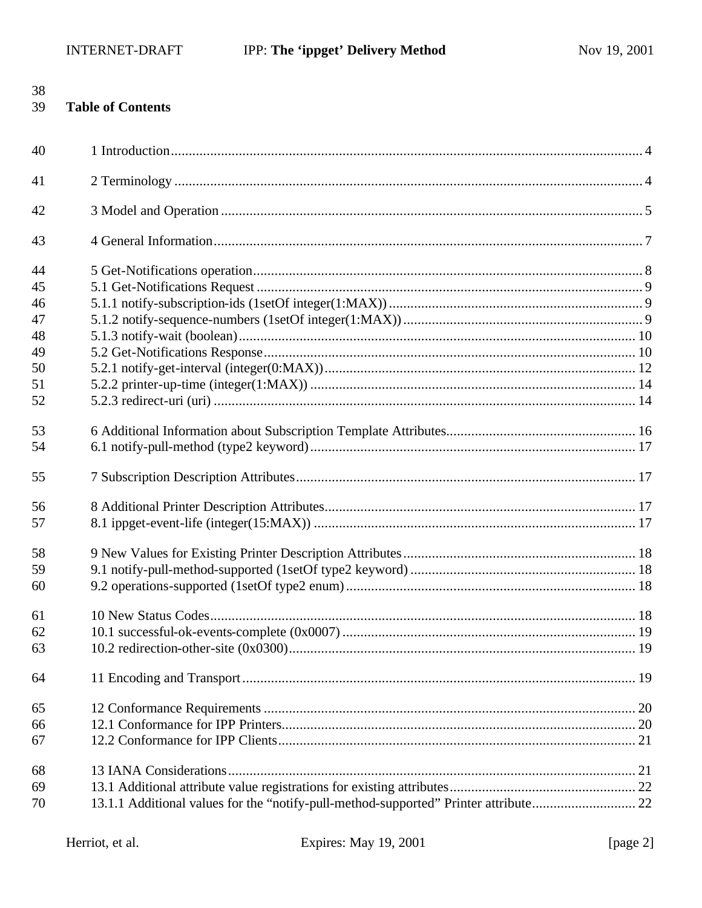| 38<br>39                   | <b>Table of Contents</b>                                                             |  |
|----------------------------|--------------------------------------------------------------------------------------|--|
| 40                         |                                                                                      |  |
| 41                         |                                                                                      |  |
| 42                         |                                                                                      |  |
| 43                         |                                                                                      |  |
| 44<br>45<br>46<br>47       |                                                                                      |  |
| 48<br>49<br>50<br>51<br>52 |                                                                                      |  |
| 53<br>54                   |                                                                                      |  |
| 55<br>56<br>57             |                                                                                      |  |
| 58<br>59<br>60             |                                                                                      |  |
| 61<br>62<br>63             |                                                                                      |  |
| 64                         |                                                                                      |  |
| 65<br>66<br>67             |                                                                                      |  |
| 68<br>69<br>70             | 13.1.1 Additional values for the "notify-pull-method-supported" Printer attribute 22 |  |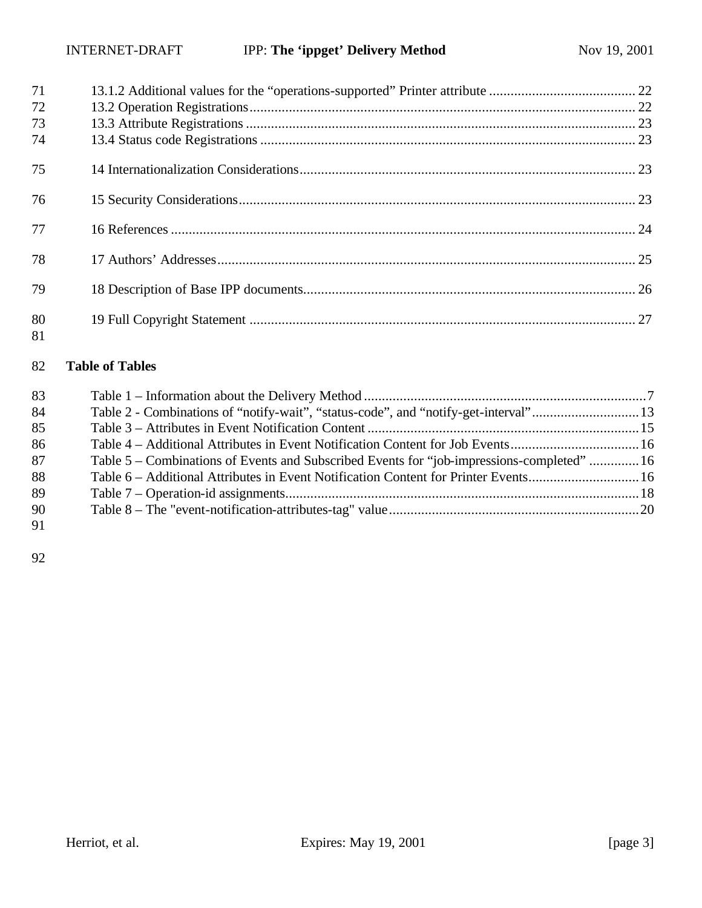| 71<br>72 |  |
|----------|--|
| 73       |  |
| 74       |  |
| 75       |  |
| 76       |  |
| 77       |  |
| 78       |  |
| 79       |  |
| 80<br>81 |  |

## **Table of Tables**

| 83 |                                                                                            |  |
|----|--------------------------------------------------------------------------------------------|--|
| 84 | Table 2 - Combinations of "notify-wait", "status-code", and "notify-get-interval"13        |  |
| 85 |                                                                                            |  |
| 86 | Table 4 – Additional Attributes in Event Notification Content for Job Events16             |  |
| 87 | Table 5 – Combinations of Events and Subscribed Events for "job-impressions-completed"  16 |  |
| 88 | Table 6 – Additional Attributes in Event Notification Content for Printer Events16         |  |
| 89 |                                                                                            |  |
| 90 |                                                                                            |  |
| 91 |                                                                                            |  |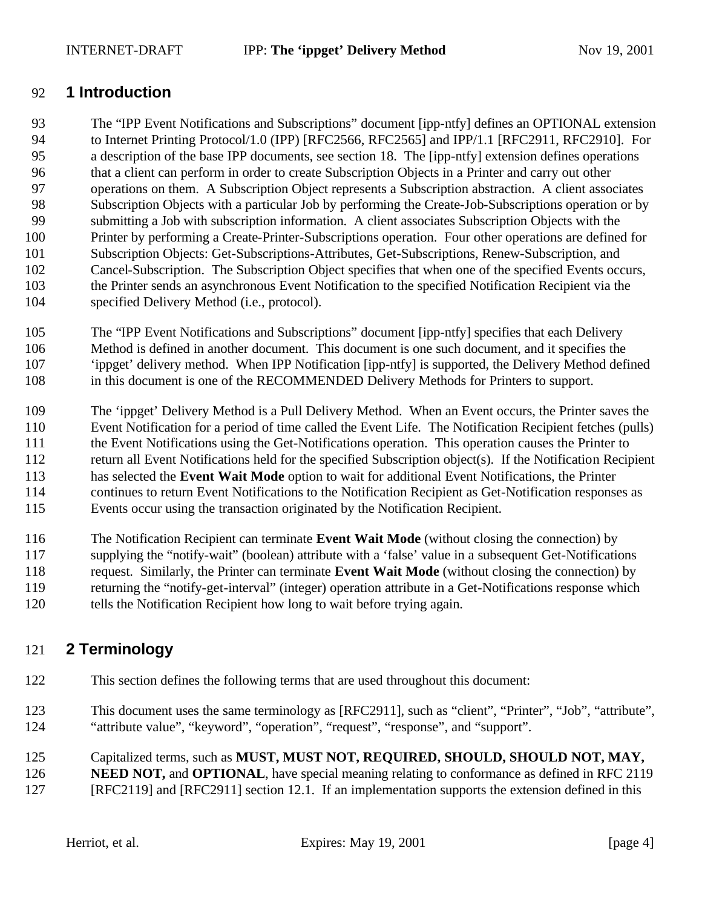## **1 Introduction**

 The "IPP Event Notifications and Subscriptions" document [ipp-ntfy] defines an OPTIONAL extension to Internet Printing Protocol/1.0 (IPP) [RFC2566, RFC2565] and IPP/1.1 [RFC2911, RFC2910]. For a description of the base IPP documents, see section 18. The [ipp-ntfy] extension defines operations that a client can perform in order to create Subscription Objects in a Printer and carry out other operations on them. A Subscription Object represents a Subscription abstraction. A client associates Subscription Objects with a particular Job by performing the Create-Job-Subscriptions operation or by submitting a Job with subscription information. A client associates Subscription Objects with the Printer by performing a Create-Printer-Subscriptions operation. Four other operations are defined for Subscription Objects: Get-Subscriptions-Attributes, Get-Subscriptions, Renew-Subscription, and Cancel-Subscription. The Subscription Object specifies that when one of the specified Events occurs, the Printer sends an asynchronous Event Notification to the specified Notification Recipient via the specified Delivery Method (i.e., protocol).

 The "IPP Event Notifications and Subscriptions" document [ipp-ntfy] specifies that each Delivery Method is defined in another document. This document is one such document, and it specifies the 'ippget' delivery method. When IPP Notification [ipp-ntfy] is supported, the Delivery Method defined in this document is one of the RECOMMENDED Delivery Methods for Printers to support.

The 'ippget' Delivery Method is a Pull Delivery Method. When an Event occurs, the Printer saves the

Event Notification for a period of time called the Event Life. The Notification Recipient fetches (pulls)

the Event Notifications using the Get-Notifications operation. This operation causes the Printer to

return all Event Notifications held for the specified Subscription object(s). If the Notification Recipient

has selected the **Event Wait Mode** option to wait for additional Event Notifications, the Printer

continues to return Event Notifications to the Notification Recipient as Get-Notification responses as

Events occur using the transaction originated by the Notification Recipient.

 The Notification Recipient can terminate **Event Wait Mode** (without closing the connection) by supplying the "notify-wait" (boolean) attribute with a 'false' value in a subsequent Get-Notifications request. Similarly, the Printer can terminate **Event Wait Mode** (without closing the connection) by returning the "notify-get-interval" (integer) operation attribute in a Get-Notifications response which tells the Notification Recipient how long to wait before trying again.

# **2 Terminology**

- This section defines the following terms that are used throughout this document:
- This document uses the same terminology as [RFC2911], such as "client", "Printer", "Job", "attribute", "attribute value", "keyword", "operation", "request", "response", and "support".

Capitalized terms, such as **MUST, MUST NOT, REQUIRED, SHOULD, SHOULD NOT, MAY,** 

**NEED NOT, and OPTIONAL**, have special meaning relating to conformance as defined in RFC 2119

[RFC2119] and [RFC2911] section 12.1. If an implementation supports the extension defined in this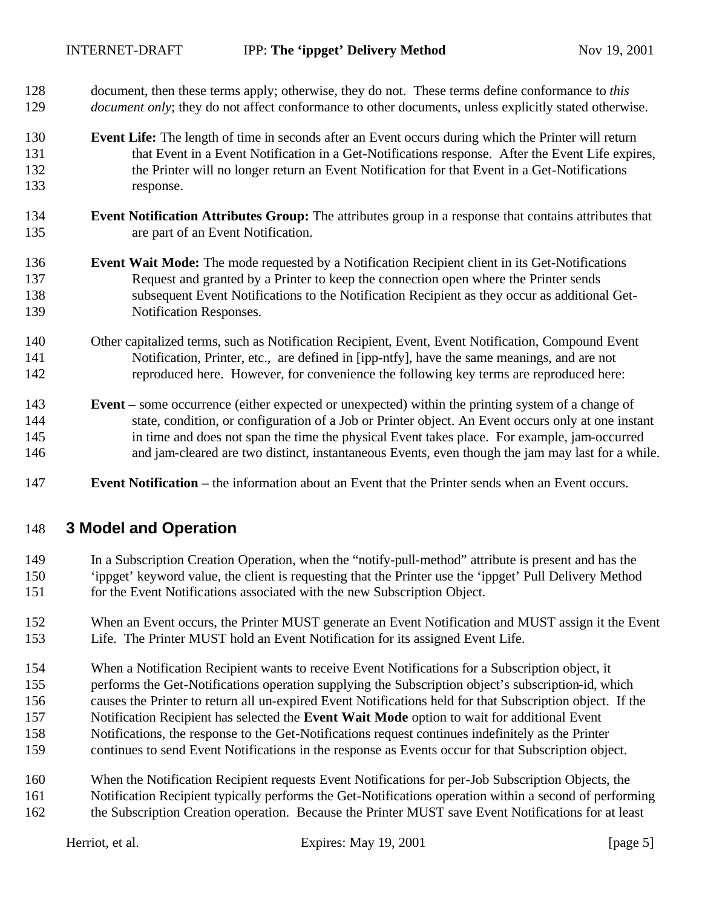- document, then these terms apply; otherwise, they do not. These terms define conformance to *this document only*; they do not affect conformance to other documents, unless explicitly stated otherwise.
- **Event Life:** The length of time in seconds after an Event occurs during which the Printer will return that Event in a Event Notification in a Get-Notifications response. After the Event Life expires, the Printer will no longer return an Event Notification for that Event in a Get-Notifications response.
- **Event Notification Attributes Group:** The attributes group in a response that contains attributes that are part of an Event Notification.
- **Event Wait Mode:** The mode requested by a Notification Recipient client in its Get-Notifications Request and granted by a Printer to keep the connection open where the Printer sends subsequent Event Notifications to the Notification Recipient as they occur as additional Get-Notification Responses.
- Other capitalized terms, such as Notification Recipient, Event, Event Notification, Compound Event Notification, Printer, etc., are defined in [ipp-ntfy], have the same meanings, and are not reproduced here. However, for convenience the following key terms are reproduced here:
- **Event –** some occurrence (either expected or unexpected) within the printing system of a change of state, condition, or configuration of a Job or Printer object. An Event occurs only at one instant in time and does not span the time the physical Event takes place. For example, jam-occurred and jam-cleared are two distinct, instantaneous Events, even though the jam may last for a while.
- **Event Notification –** the information about an Event that the Printer sends when an Event occurs.

## **3 Model and Operation**

- In a Subscription Creation Operation, when the "notify-pull-method" attribute is present and has the 'ippget' keyword value, the client is requesting that the Printer use the 'ippget' Pull Delivery Method for the Event Notifications associated with the new Subscription Object.
- When an Event occurs, the Printer MUST generate an Event Notification and MUST assign it the Event Life. The Printer MUST hold an Event Notification for its assigned Event Life.
- When a Notification Recipient wants to receive Event Notifications for a Subscription object, it
- performs the Get-Notifications operation supplying the Subscription object's subscription-id, which
- causes the Printer to return all un-expired Event Notifications held for that Subscription object. If the
- Notification Recipient has selected the **Event Wait Mode** option to wait for additional Event
- Notifications, the response to the Get-Notifications request continues indefinitely as the Printer
- continues to send Event Notifications in the response as Events occur for that Subscription object.
- When the Notification Recipient requests Event Notifications for per-Job Subscription Objects, the Notification Recipient typically performs the Get-Notifications operation within a second of performing the Subscription Creation operation. Because the Printer MUST save Event Notifications for at least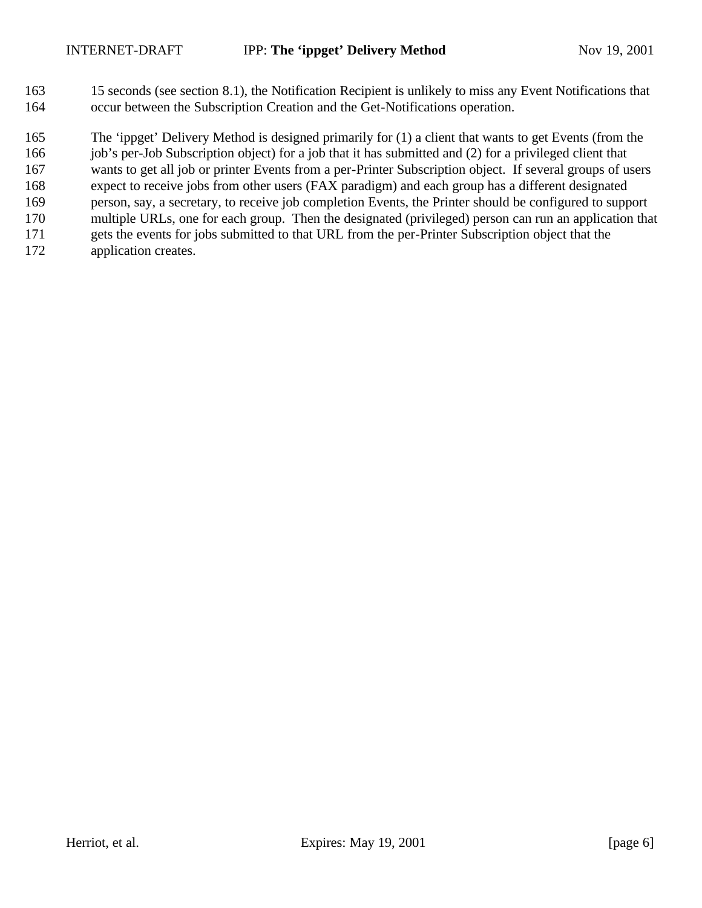15 seconds (see section 8.1), the Notification Recipient is unlikely to miss any Event Notifications that occur between the Subscription Creation and the Get-Notifications operation.

The 'ippget' Delivery Method is designed primarily for (1) a client that wants to get Events (from the

166 job's per-Job Subscription object) for a job that it has submitted and (2) for a privileged client that

 wants to get all job or printer Events from a per-Printer Subscription object. If several groups of users expect to receive jobs from other users (FAX paradigm) and each group has a different designated

- person, say, a secretary, to receive job completion Events, the Printer should be configured to support
- multiple URLs, one for each group. Then the designated (privileged) person can run an application that
- gets the events for jobs submitted to that URL from the per-Printer Subscription object that the
- application creates.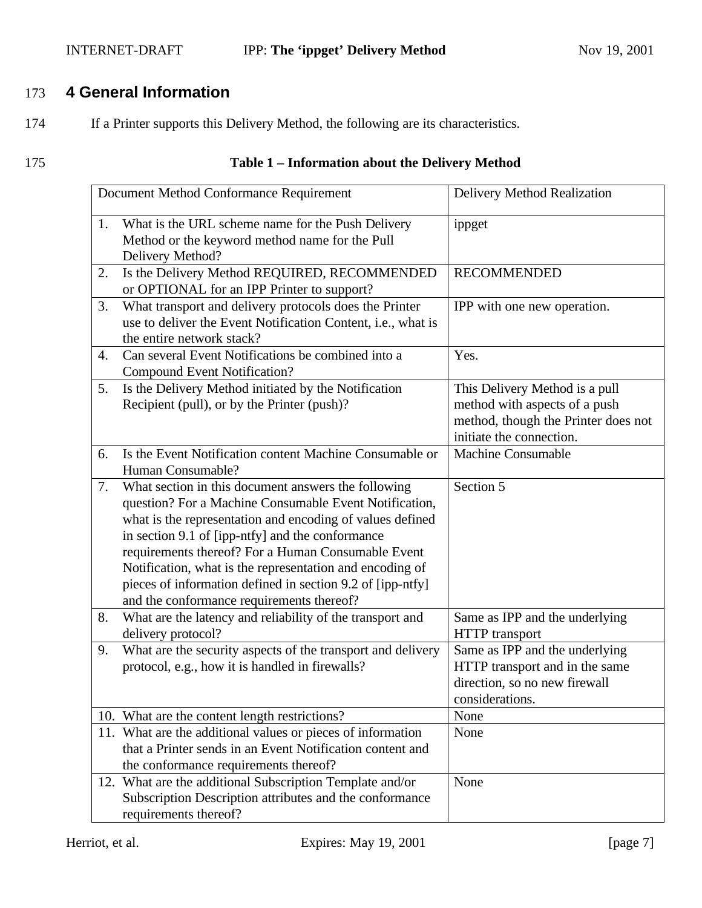## INTERNET-DRAFT **IPP: The 'ippget' Delivery Method** Nov 19, 2001

# 173 **4 General Information**

174 If a Printer supports this Delivery Method, the following are its characteristics.

## 175 **Table 1 – Information about the Delivery Method**

|    | Document Method Conformance Requirement                                                                                                                                                                                                                                                                                                                                                                                                                     | Delivery Method Realization                                                                                                        |
|----|-------------------------------------------------------------------------------------------------------------------------------------------------------------------------------------------------------------------------------------------------------------------------------------------------------------------------------------------------------------------------------------------------------------------------------------------------------------|------------------------------------------------------------------------------------------------------------------------------------|
| 1. | What is the URL scheme name for the Push Delivery<br>Method or the keyword method name for the Pull<br>Delivery Method?                                                                                                                                                                                                                                                                                                                                     | ippget                                                                                                                             |
| 2. | Is the Delivery Method REQUIRED, RECOMMENDED<br>or OPTIONAL for an IPP Printer to support?                                                                                                                                                                                                                                                                                                                                                                  | <b>RECOMMENDED</b>                                                                                                                 |
| 3. | What transport and delivery protocols does the Printer<br>use to deliver the Event Notification Content, i.e., what is<br>the entire network stack?                                                                                                                                                                                                                                                                                                         | IPP with one new operation.                                                                                                        |
| 4. | Can several Event Notifications be combined into a<br><b>Compound Event Notification?</b>                                                                                                                                                                                                                                                                                                                                                                   | Yes.                                                                                                                               |
| 5. | Is the Delivery Method initiated by the Notification<br>Recipient (pull), or by the Printer (push)?                                                                                                                                                                                                                                                                                                                                                         | This Delivery Method is a pull<br>method with aspects of a push<br>method, though the Printer does not<br>initiate the connection. |
| 6. | Is the Event Notification content Machine Consumable or<br>Human Consumable?                                                                                                                                                                                                                                                                                                                                                                                | <b>Machine Consumable</b>                                                                                                          |
| 7. | What section in this document answers the following<br>question? For a Machine Consumable Event Notification,<br>what is the representation and encoding of values defined<br>in section 9.1 of [ipp-ntfy] and the conformance<br>requirements thereof? For a Human Consumable Event<br>Notification, what is the representation and encoding of<br>pieces of information defined in section 9.2 of [ipp-ntfy]<br>and the conformance requirements thereof? | Section 5                                                                                                                          |
| 8. | What are the latency and reliability of the transport and<br>delivery protocol?                                                                                                                                                                                                                                                                                                                                                                             | Same as IPP and the underlying<br><b>HTTP</b> transport                                                                            |
| 9. | What are the security aspects of the transport and delivery<br>protocol, e.g., how it is handled in firewalls?                                                                                                                                                                                                                                                                                                                                              | Same as IPP and the underlying<br>HTTP transport and in the same<br>direction, so no new firewall<br>considerations.               |
|    | 10. What are the content length restrictions?                                                                                                                                                                                                                                                                                                                                                                                                               | None                                                                                                                               |
|    | 11. What are the additional values or pieces of information<br>that a Printer sends in an Event Notification content and<br>the conformance requirements thereof?                                                                                                                                                                                                                                                                                           | None                                                                                                                               |
|    | 12. What are the additional Subscription Template and/or<br>Subscription Description attributes and the conformance<br>requirements thereof?                                                                                                                                                                                                                                                                                                                | None                                                                                                                               |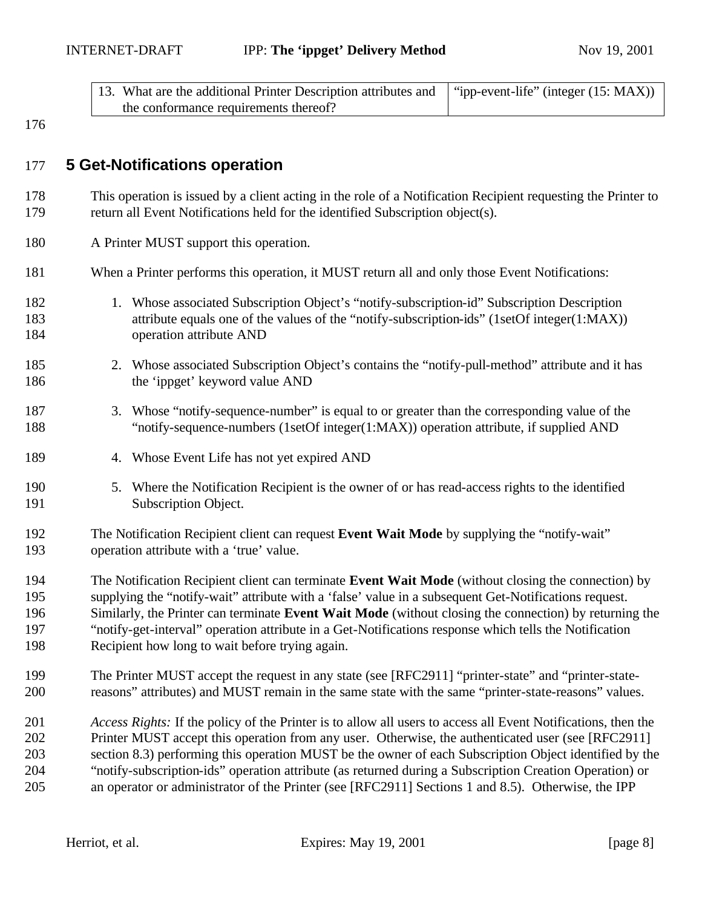| 13. What are the additional Printer Description attributes and   "ipp-event-life" (integer (15: MAX)) |  |
|-------------------------------------------------------------------------------------------------------|--|
| the conformance requirements thereof?                                                                 |  |

## **5 Get-Notifications operation**

- This operation is issued by a client acting in the role of a Notification Recipient requesting the Printer to return all Event Notifications held for the identified Subscription object(s).
- A Printer MUST support this operation.
- When a Printer performs this operation, it MUST return all and only those Event Notifications:
- 182 1. Whose associated Subscription Object's "notify-subscription-id" Subscription Description attribute equals one of the values of the "notify-subscription-ids" (1setOf integer(1:MAX)) operation attribute AND
- 2. Whose associated Subscription Object's contains the "notify-pull-method" attribute and it has 186 the 'ippget' keyword value AND
- 3. Whose "notify-sequence-number" is equal to or greater than the corresponding value of the "notify-sequence-numbers (1setOf integer(1:MAX)) operation attribute, if supplied AND
- 4. Whose Event Life has not yet expired AND
- 5. Where the Notification Recipient is the owner of or has read-access rights to the identified Subscription Object.
- The Notification Recipient client can request **Event Wait Mode** by supplying the "notify-wait" operation attribute with a 'true' value.
- The Notification Recipient client can terminate **Event Wait Mode** (without closing the connection) by supplying the "notify-wait" attribute with a 'false' value in a subsequent Get-Notifications request. Similarly, the Printer can terminate **Event Wait Mode** (without closing the connection) by returning the "notify-get-interval" operation attribute in a Get-Notifications response which tells the Notification Recipient how long to wait before trying again.
- The Printer MUST accept the request in any state (see [RFC2911] "printer-state" and "printer-state-reasons" attributes) and MUST remain in the same state with the same "printer-state-reasons" values.
- *Access Rights:* If the policy of the Printer is to allow all users to access all Event Notifications, then the Printer MUST accept this operation from any user. Otherwise, the authenticated user (see [RFC2911] section 8.3) performing this operation MUST be the owner of each Subscription Object identified by the "notify-subscription-ids" operation attribute (as returned during a Subscription Creation Operation) or an operator or administrator of the Printer (see [RFC2911] Sections 1 and 8.5). Otherwise, the IPP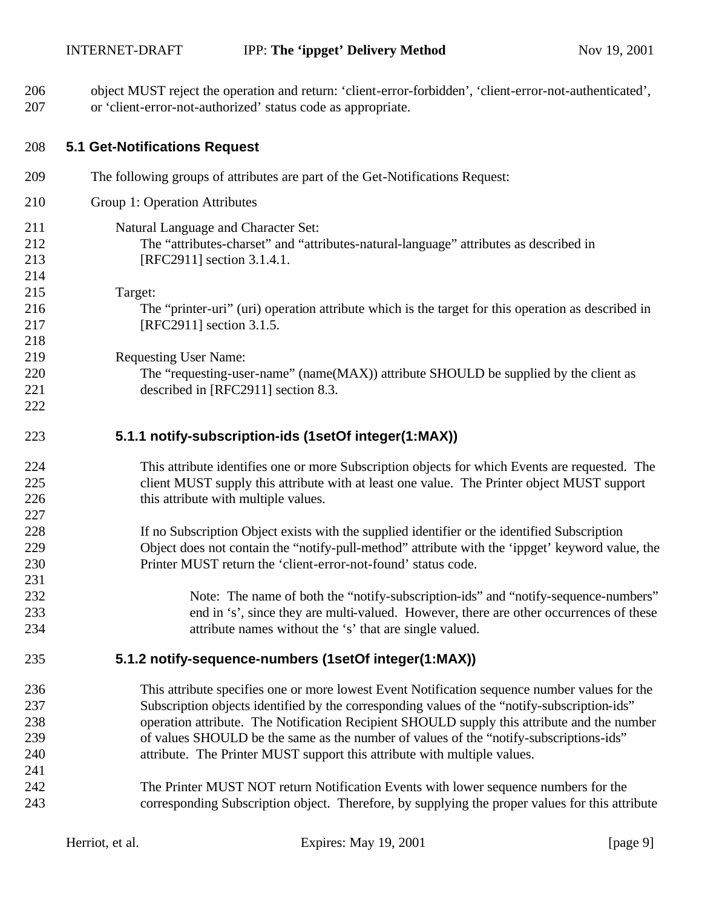| 207 | or 'client-error-not-authorized' status code as appropriate.                                       |
|-----|----------------------------------------------------------------------------------------------------|
| 208 | <b>5.1 Get-Notifications Request</b>                                                               |
| 209 | The following groups of attributes are part of the Get-Notifications Request:                      |
| 210 | Group 1: Operation Attributes                                                                      |
| 211 | Natural Language and Character Set:                                                                |
| 212 | The "attributes-charset" and "attributes-natural-language" attributes as described in              |
| 213 | [RFC2911] section 3.1.4.1.                                                                         |
| 214 |                                                                                                    |
| 215 | Target:                                                                                            |
| 216 | The "printer-uri" (uri) operation attribute which is the target for this operation as described in |
| 217 | [RFC2911] section 3.1.5.                                                                           |
| 218 |                                                                                                    |
| 219 | <b>Requesting User Name:</b>                                                                       |
| 220 | The "requesting-user-name" (name(MAX)) attribute SHOULD be supplied by the client as               |
| 221 | described in [RFC2911] section 8.3.                                                                |
| 222 |                                                                                                    |
| 223 | 5.1.1 notify-subscription-ids (1setOf integer(1:MAX))                                              |
| 224 | This attribute identifies one or more Subscription objects for which Events are requested. The     |
| 225 | client MUST supply this attribute with at least one value. The Printer object MUST support         |
| 226 | this attribute with multiple values.                                                               |
| 227 |                                                                                                    |
| 228 | If no Subscription Object exists with the supplied identifier or the identified Subscription       |
| 229 | Object does not contain the "notify-pull-method" attribute with the 'ippget' keyword value, the    |
| 230 | Printer MUST return the 'client-error-not-found' status code.                                      |
| 231 |                                                                                                    |
| 232 | Note: The name of both the "notify-subscription-ids" and "notify-sequence-numbers"                 |
| 233 | end in 's', since they are multi-valued. However, there are other occurrences of these             |
| 234 | attribute names without the 's' that are single valued.                                            |
| 235 | 5.1.2 notify-sequence-numbers (1setOf integer(1:MAX))                                              |
| 236 | This attribute specifies one or more lowest Event Notification sequence number values for the      |
| 237 | Subscription objects identified by the corresponding values of the "notify-subscription-ids"       |
| 238 | operation attribute. The Notification Recipient SHOULD supply this attribute and the number        |
| 239 | of values SHOULD be the same as the number of values of the "notify-subscriptions-ids"             |
| 240 | attribute. The Printer MUST support this attribute with multiple values.                           |
| 241 |                                                                                                    |
| 242 | The Printer MUST NOT return Notification Events with lower sequence numbers for the                |
| 243 | corresponding Subscription object. Therefore, by supplying the proper values for this attribute    |

object MUST reject the operation and return: 'client-error-forbidden', 'client-error-not-authenticated',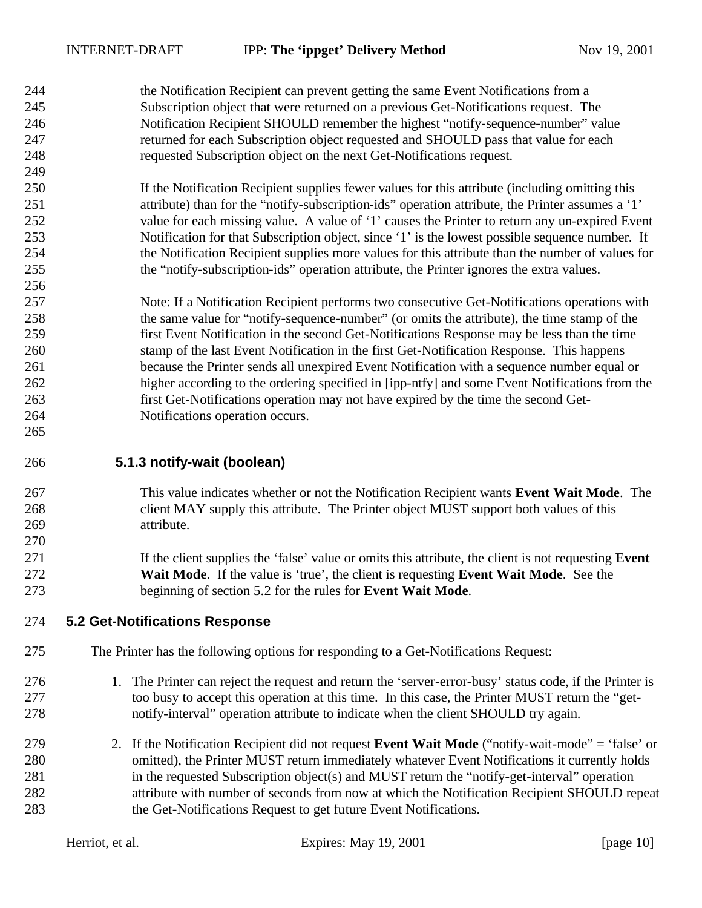the Notification Recipient can prevent getting the same Event Notifications from a Subscription object that were returned on a previous Get-Notifications request. The Notification Recipient SHOULD remember the highest "notify-sequence-number" value returned for each Subscription object requested and SHOULD pass that value for each requested Subscription object on the next Get-Notifications request. 

- If the Notification Recipient supplies fewer values for this attribute (including omitting this attribute) than for the "notify-subscription-ids" operation attribute, the Printer assumes a '1' 252 value for each missing value. A value of '1' causes the Printer to return any un-expired Event Notification for that Subscription object, since '1' is the lowest possible sequence number. If the Notification Recipient supplies more values for this attribute than the number of values for the "notify-subscription-ids" operation attribute, the Printer ignores the extra values.
- Note: If a Notification Recipient performs two consecutive Get-Notifications operations with the same value for "notify-sequence-number" (or omits the attribute), the time stamp of the first Event Notification in the second Get-Notifications Response may be less than the time stamp of the last Event Notification in the first Get-Notification Response. This happens because the Printer sends all unexpired Event Notification with a sequence number equal or higher according to the ordering specified in [ipp-ntfy] and some Event Notifications from the first Get-Notifications operation may not have expired by the time the second Get-Notifications operation occurs.
- **5.1.3 notify-wait (boolean)**

- This value indicates whether or not the Notification Recipient wants **Event Wait Mode**. The 268 client MAY supply this attribute. The Printer object MUST support both values of this attribute.
- If the client supplies the 'false' value or omits this attribute, the client is not requesting **Event Wait Mode**. If the value is 'true', the client is requesting **Event Wait Mode**. See the beginning of section 5.2 for the rules for **Event Wait Mode**.
- **5.2 Get-Notifications Response**
- The Printer has the following options for responding to a Get-Notifications Request:
- 1. The Printer can reject the request and return the 'server-error-busy' status code, if the Printer is 277 too busy to accept this operation at this time. In this case, the Printer MUST return the "get-notify-interval" operation attribute to indicate when the client SHOULD try again.
- 2. If the Notification Recipient did not request **Event Wait Mode** ("notify-wait-mode" = 'false' or omitted), the Printer MUST return immediately whatever Event Notifications it currently holds in the requested Subscription object(s) and MUST return the "notify-get-interval" operation attribute with number of seconds from now at which the Notification Recipient SHOULD repeat the Get-Notifications Request to get future Event Notifications.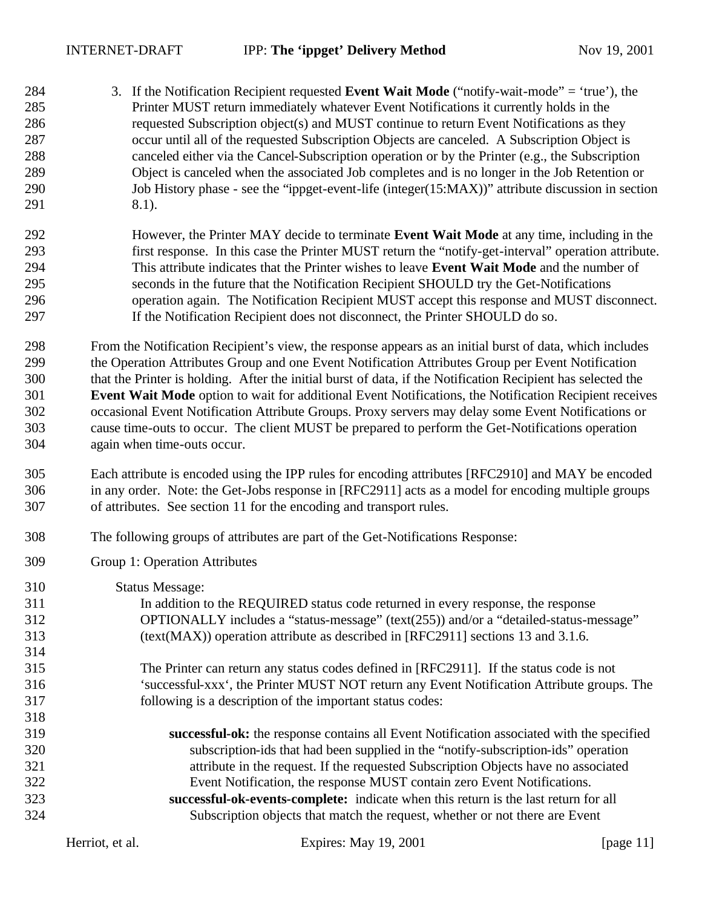- 3. If the Notification Recipient requested **Event Wait Mode** ("notify-wait-mode" = 'true'), the Printer MUST return immediately whatever Event Notifications it currently holds in the requested Subscription object(s) and MUST continue to return Event Notifications as they occur until all of the requested Subscription Objects are canceled. A Subscription Object is canceled either via the Cancel-Subscription operation or by the Printer (e.g., the Subscription Object is canceled when the associated Job completes and is no longer in the Job Retention or Job History phase - see the "ippget-event-life (integer(15:MAX))" attribute discussion in section 291 8.1).
- However, the Printer MAY decide to terminate **Event Wait Mode** at any time, including in the first response. In this case the Printer MUST return the "notify-get-interval" operation attribute. This attribute indicates that the Printer wishes to leave **Event Wait Mode** and the number of seconds in the future that the Notification Recipient SHOULD try the Get-Notifications operation again. The Notification Recipient MUST accept this response and MUST disconnect. If the Notification Recipient does not disconnect, the Printer SHOULD do so.

 From the Notification Recipient's view, the response appears as an initial burst of data, which includes the Operation Attributes Group and one Event Notification Attributes Group per Event Notification that the Printer is holding. After the initial burst of data, if the Notification Recipient has selected the **Event Wait Mode** option to wait for additional Event Notifications, the Notification Recipient receives occasional Event Notification Attribute Groups. Proxy servers may delay some Event Notifications or cause time-outs to occur. The client MUST be prepared to perform the Get-Notifications operation again when time-outs occur.

- Each attribute is encoded using the IPP rules for encoding attributes [RFC2910] and MAY be encoded in any order. Note: the Get-Jobs response in [RFC2911] acts as a model for encoding multiple groups of attributes. See section 11 for the encoding and transport rules.
- The following groups of attributes are part of the Get-Notifications Response:
- Group 1: Operation Attributes
- Status Message: In addition to the REQUIRED status code returned in every response, the response OPTIONALLY includes a "status-message" (text(255)) and/or a "detailed-status-message" (text(MAX)) operation attribute as described in [RFC2911] sections 13 and 3.1.6. The Printer can return any status codes defined in [RFC2911]. If the status code is not 'successful-xxx', the Printer MUST NOT return any Event Notification Attribute groups. The following is a description of the important status codes: **successful-ok:** the response contains all Event Notification associated with the specified subscription-ids that had been supplied in the "notify-subscription-ids" operation attribute in the request. If the requested Subscription Objects have no associated Event Notification, the response MUST contain zero Event Notifications. **successful-ok-events-complete:** indicate when this return is the last return for all Subscription objects that match the request, whether or not there are Event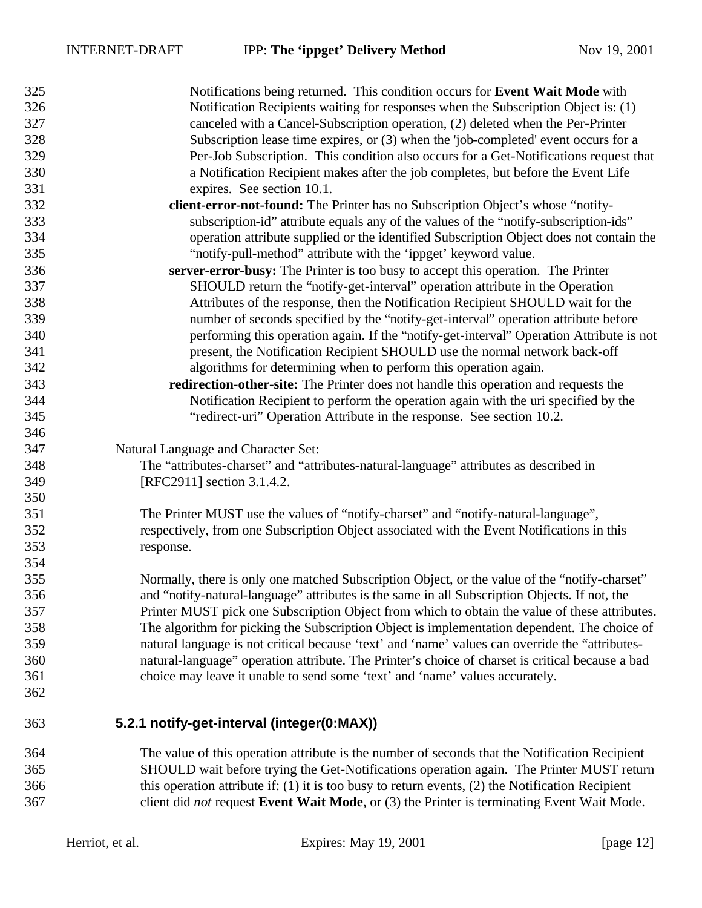| 325 | Notifications being returned. This condition occurs for Event Wait Mode with                         |
|-----|------------------------------------------------------------------------------------------------------|
| 326 | Notification Recipients waiting for responses when the Subscription Object is: (1)                   |
| 327 | canceled with a Cancel-Subscription operation, (2) deleted when the Per-Printer                      |
| 328 | Subscription lease time expires, or (3) when the 'job-completed' event occurs for a                  |
| 329 | Per-Job Subscription. This condition also occurs for a Get-Notifications request that                |
| 330 | a Notification Recipient makes after the job completes, but before the Event Life                    |
| 331 | expires. See section 10.1.                                                                           |
| 332 | client-error-not-found: The Printer has no Subscription Object's whose "notify-                      |
| 333 | subscription-id" attribute equals any of the values of the "notify-subscription-ids"                 |
| 334 | operation attribute supplied or the identified Subscription Object does not contain the              |
| 335 | "notify-pull-method" attribute with the 'ippget' keyword value.                                      |
| 336 | server-error-busy: The Printer is too busy to accept this operation. The Printer                     |
| 337 | SHOULD return the "notify-get-interval" operation attribute in the Operation                         |
| 338 | Attributes of the response, then the Notification Recipient SHOULD wait for the                      |
| 339 | number of seconds specified by the "notify-get-interval" operation attribute before                  |
| 340 | performing this operation again. If the "notify-get-interval" Operation Attribute is not             |
| 341 | present, the Notification Recipient SHOULD use the normal network back-off                           |
| 342 | algorithms for determining when to perform this operation again.                                     |
| 343 | redirection-other-site: The Printer does not handle this operation and requests the                  |
| 344 | Notification Recipient to perform the operation again with the uri specified by the                  |
| 345 | "redirect-uri" Operation Attribute in the response. See section 10.2.                                |
| 346 |                                                                                                      |
| 347 |                                                                                                      |
|     | Natural Language and Character Set:                                                                  |
| 348 | The "attributes-charset" and "attributes-natural-language" attributes as described in                |
| 349 | [RFC2911] section 3.1.4.2.                                                                           |
| 350 |                                                                                                      |
| 351 | The Printer MUST use the values of "notify-charset" and "notify-natural-language",                   |
| 352 | respectively, from one Subscription Object associated with the Event Notifications in this           |
| 353 | response.                                                                                            |
| 354 |                                                                                                      |
| 355 | Normally, there is only one matched Subscription Object, or the value of the "notify-charset"        |
| 356 | and "notify-natural-language" attributes is the same in all Subscription Objects. If not, the        |
| 357 | Printer MUST pick one Subscription Object from which to obtain the value of these attributes.        |
| 358 | The algorithm for picking the Subscription Object is implementation dependent. The choice of         |
| 359 | natural language is not critical because 'text' and 'name' values can override the "attributes-      |
| 360 | natural-language" operation attribute. The Printer's choice of charset is critical because a bad     |
| 361 | choice may leave it unable to send some 'text' and 'name' values accurately.                         |
| 362 |                                                                                                      |
| 363 | 5.2.1 notify-get-interval (integer(0:MAX))                                                           |
| 364 | The value of this operation attribute is the number of seconds that the Notification Recipient       |
| 365 | SHOULD wait before trying the Get-Notifications operation again. The Printer MUST return             |
| 366 | this operation attribute if: $(1)$ it is too busy to return events, $(2)$ the Notification Recipient |
| 367 | client did not request Event Wait Mode, or (3) the Printer is terminating Event Wait Mode.           |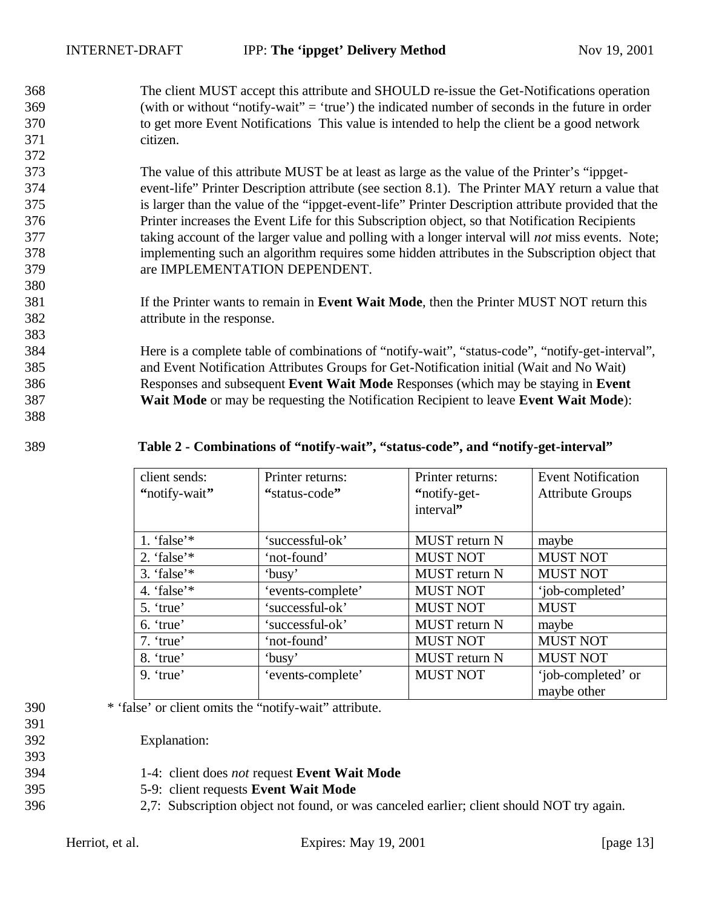The client MUST accept this attribute and SHOULD re-issue the Get-Notifications operation (with or without "notify-wait" = 'true') the indicated number of seconds in the future in order to get more Event Notifications This value is intended to help the client be a good network citizen.

 The value of this attribute MUST be at least as large as the value of the Printer's "ippget- event-life" Printer Description attribute (see section 8.1). The Printer MAY return a value that is larger than the value of the "ippget-event-life" Printer Description attribute provided that the Printer increases the Event Life for this Subscription object, so that Notification Recipients taking account of the larger value and polling with a longer interval will *not* miss events. Note; implementing such an algorithm requires some hidden attributes in the Subscription object that are IMPLEMENTATION DEPENDENT.

 If the Printer wants to remain in **Event Wait Mode**, then the Printer MUST NOT return this attribute in the response.

 Here is a complete table of combinations of "notify-wait", "status-code", "notify-get-interval", and Event Notification Attributes Groups for Get-Notification initial (Wait and No Wait) Responses and subsequent **Event Wait Mode** Responses (which may be staying in **Event Wait Mode** or may be requesting the Notification Recipient to leave **Event Wait Mode**):

### **Table 2 - Combinations of "notify-wait", "status-code", and "notify-get-interval"**

| client sends:<br>"notify-wait" | Printer returns:<br>"status-code" | Printer returns:<br>"notify-get-<br>interval" | <b>Event Notification</b><br><b>Attribute Groups</b> |
|--------------------------------|-----------------------------------|-----------------------------------------------|------------------------------------------------------|
| 1. 'false' $*$                 | 'successful-ok'                   | <b>MUST</b> return N                          | maybe                                                |
| 2. 'false' $*$                 | 'not-found'                       | <b>MUST NOT</b>                               | <b>MUST NOT</b>                                      |
| 3. 'false' $*$                 | 'busy'                            | <b>MUST</b> return N                          | <b>MUST NOT</b>                                      |
| 4. 'false' $*$                 | 'events-complete'                 | <b>MUST NOT</b>                               | 'job-completed'                                      |
| 5. 'true'                      | 'successful-ok'                   | <b>MUST NOT</b>                               | <b>MUST</b>                                          |
| 6. 'true'                      | 'successful-ok'                   | <b>MUST</b> return N                          | maybe                                                |
| $7.$ 'true'                    | 'not-found'                       | <b>MUST NOT</b>                               | <b>MUST NOT</b>                                      |
| 8. 'true'                      | 'busy'                            | <b>MUST</b> return N                          | <b>MUST NOT</b>                                      |
| $9.$ 'true'                    | 'events-complete'                 | <b>MUST NOT</b>                               | 'job-completed' or<br>maybe other                    |

\* 'false' or client omits the "notify-wait" attribute.

Explanation:

- 1-4: client does *not* request **Event Wait Mode**
- 5-9: client requests **Event Wait Mode**
- 2,7: Subscription object not found, or was canceled earlier; client should NOT try again.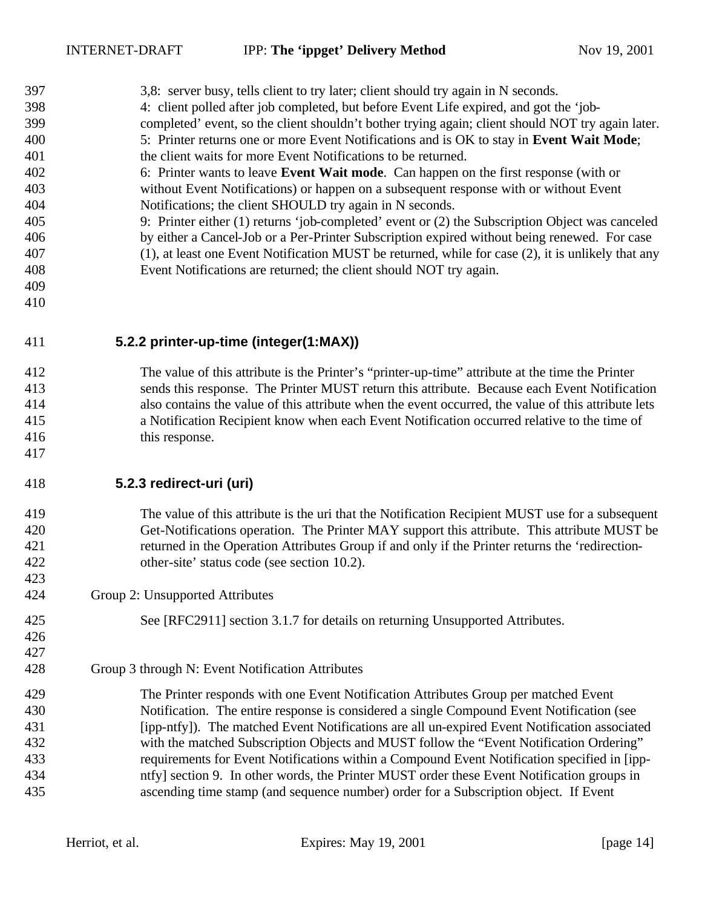| 397 | 3,8: server busy, tells client to try later; client should try again in N seconds.                 |
|-----|----------------------------------------------------------------------------------------------------|
| 398 | 4: client polled after job completed, but before Event Life expired, and got the 'job-             |
| 399 | completed' event, so the client shouldn't bother trying again; client should NOT try again later.  |
| 400 | 5: Printer returns one or more Event Notifications and is OK to stay in Event Wait Mode;           |
| 401 | the client waits for more Event Notifications to be returned.                                      |
| 402 | 6: Printer wants to leave <b>Event Wait mode.</b> Can happen on the first response (with or        |
| 403 | without Event Notifications) or happen on a subsequent response with or without Event              |
| 404 | Notifications; the client SHOULD try again in N seconds.                                           |
| 405 | 9: Printer either (1) returns 'job-completed' event or (2) the Subscription Object was canceled    |
| 406 | by either a Cancel-Job or a Per-Printer Subscription expired without being renewed. For case       |
| 407 | (1), at least one Event Notification MUST be returned, while for case (2), it is unlikely that any |
| 408 | Event Notifications are returned; the client should NOT try again.                                 |
| 409 |                                                                                                    |
| 410 |                                                                                                    |
|     |                                                                                                    |

## **5.2.2 printer-up-time (integer(1:MAX))**

 The value of this attribute is the Printer's "printer-up-time" attribute at the time the Printer sends this response. The Printer MUST return this attribute. Because each Event Notification also contains the value of this attribute when the event occurred, the value of this attribute lets a Notification Recipient know when each Event Notification occurred relative to the time of this response.

#### **5.2.3 redirect-uri (uri)**

 

- The value of this attribute is the uri that the Notification Recipient MUST use for a subsequent Get-Notifications operation. The Printer MAY support this attribute. This attribute MUST be returned in the Operation Attributes Group if and only if the Printer returns the 'redirection-other-site' status code (see section 10.2).
- Group 2: Unsupported Attributes

See [RFC2911] section 3.1.7 for details on returning Unsupported Attributes.

- Group 3 through N: Event Notification Attributes
- The Printer responds with one Event Notification Attributes Group per matched Event Notification. The entire response is considered a single Compound Event Notification (see [ipp-ntfy]). The matched Event Notifications are all un-expired Event Notification associated with the matched Subscription Objects and MUST follow the "Event Notification Ordering" requirements for Event Notifications within a Compound Event Notification specified in [ipp- ntfy] section 9. In other words, the Printer MUST order these Event Notification groups in ascending time stamp (and sequence number) order for a Subscription object. If Event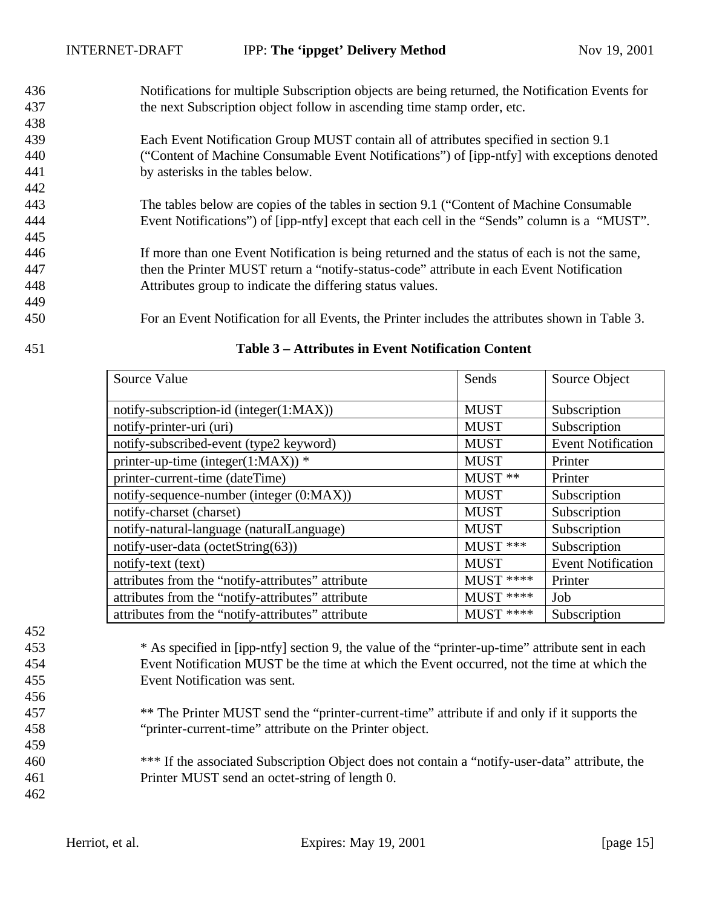- Notifications for multiple Subscription objects are being returned, the Notification Events for the next Subscription object follow in ascending time stamp order, etc.
- Each Event Notification Group MUST contain all of attributes specified in section 9.1 ("Content of Machine Consumable Event Notifications") of [ipp-ntfy] with exceptions denoted by asterisks in the tables below.
- The tables below are copies of the tables in section 9.1 ("Content of Machine Consumable Event Notifications") of [ipp-ntfy] except that each cell in the "Sends" column is a "MUST".
- If more than one Event Notification is being returned and the status of each is not the same, then the Printer MUST return a "notify-status-code" attribute in each Event Notification Attributes group to indicate the differing status values.
- For an Event Notification for all Events, the Printer includes the attributes shown in Table 3.
- 

| Source Value                                      | Sends       | Source Object             |
|---------------------------------------------------|-------------|---------------------------|
|                                                   |             |                           |
| notify-subscription-id (integer(1:MAX))           | <b>MUST</b> | Subscription              |
| notify-printer-uri (uri)                          | <b>MUST</b> | Subscription              |
| notify-subscribed-event (type2 keyword)           | <b>MUST</b> | <b>Event Notification</b> |
| printer-up-time (integer( $1:MAX$ )) *            | <b>MUST</b> | Printer                   |
| printer-current-time (dateTime)                   | MUST **     | Printer                   |
| notify-sequence-number (integer (0:MAX))          | <b>MUST</b> | Subscription              |
| notify-charset (charset)                          | <b>MUST</b> | Subscription              |
| notify-natural-language (naturalLanguage)         | <b>MUST</b> | Subscription              |
| notify-user-data (octetString(63))                | MUST ***    | Subscription              |
| notify-text (text)                                | <b>MUST</b> | <b>Event Notification</b> |
| attributes from the "notify-attributes" attribute | MUST ****   | Printer                   |
| attributes from the "notify-attributes" attribute | MUST ****   | Job                       |
| attributes from the "notify-attributes" attribute | MUST ****   | Subscription              |

#### **Table 3 – Attributes in Event Notification Content**

- \* As specified in [ipp-ntfy] section 9, the value of the "printer-up-time" attribute sent in each Event Notification MUST be the time at which the Event occurred, not the time at which the Event Notification was sent.
- \*\* The Printer MUST send the "printer-current-time" attribute if and only if it supports the "printer-current-time" attribute on the Printer object.
- \*\*\* If the associated Subscription Object does not contain a "notify-user-data" attribute, the Printer MUST send an octet-string of length 0.
-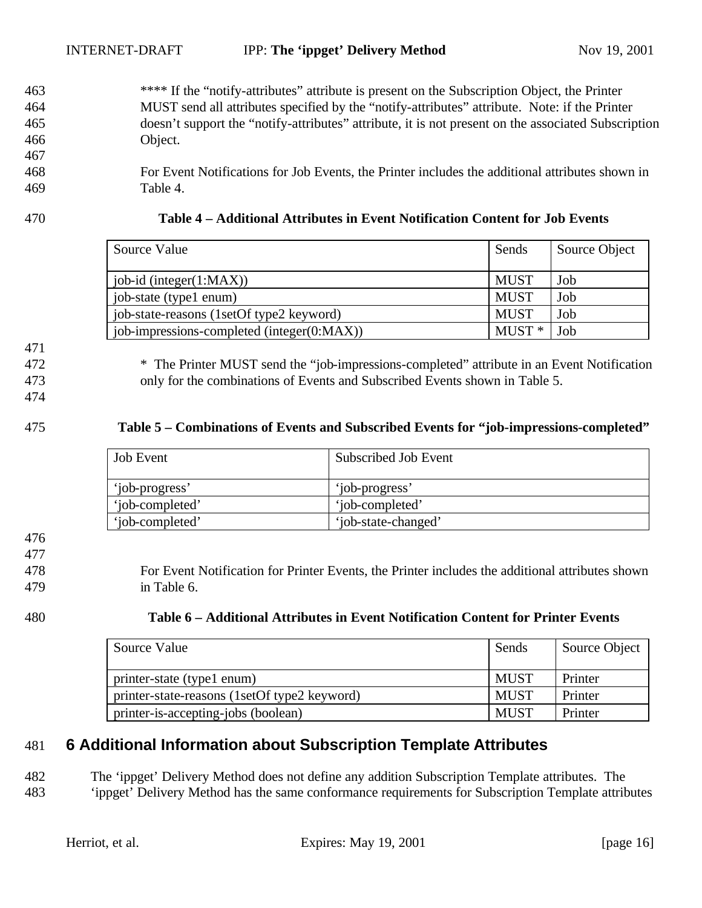- 463 \*\*\*\* If the "notify-attributes" attribute is present on the Subscription Object, the Printer 464 MUST send all attributes specified by the "notify-attributes" attribute. Note: if the Printer 465 doesn't support the "notify-attributes" attribute, it is not present on the associated Subscription 466 Object.
- 468 For Event Notifications for Job Events, the Printer includes the additional attributes shown in 469 Table 4.
- 

| 470 | Table 4 – Additional Attributes in Event Notification Content for Job Events |
|-----|------------------------------------------------------------------------------|
|     |                                                                              |

| Source Value                               | Sends             | Source Object |
|--------------------------------------------|-------------------|---------------|
| job-id (integer $(1:MAX)$ )                | <b>MUST</b>       | Job           |
| job-state (type1 enum)                     | <b>MUST</b>       | Job           |
| job-state-reasons (1setOf type2 keyword)   | <b>MUST</b>       | Job           |
| job-impressions-completed (integer(0:MAX)) | MUST <sup>*</sup> | Job           |

471

472 \* The Printer MUST send the "job-impressions-completed" attribute in an Event Notification 473 only for the combinations of Events and Subscribed Events shown in Table 5.

474

#### 475 **Table 5 – Combinations of Events and Subscribed Events for "job-impressions-completed"**

| <b>Job Event</b> | Subscribed Job Event |
|------------------|----------------------|
| 'iob-progress'   | 'iob-progress'       |
| 'iob-completed'  | 'iob-completed'      |
| 'iob-completed'  | 'iob-state-changed'  |

# 476

477

478 For Event Notification for Printer Events, the Printer includes the additional attributes shown 479 in Table 6.

| 480 | Table 6 – Additional Attributes in Event Notification Content for Printer Events |
|-----|----------------------------------------------------------------------------------|
|-----|----------------------------------------------------------------------------------|

| Source Value                                 | Sends       | Source Object |
|----------------------------------------------|-------------|---------------|
| printer-state (type1 enum)                   | MUST        | Printer       |
| printer-state-reasons (1setOf type2 keyword) | <b>MUST</b> | Printer       |
| printer-is-accepting-jobs (boolean)          | <b>MUST</b> | Printer       |

# 481 **6 Additional Information about Subscription Template Attributes**

482 The 'ippget' Delivery Method does not define any addition Subscription Template attributes. The 483 'ippget' Delivery Method has the same conformance requirements for Subscription Template attributes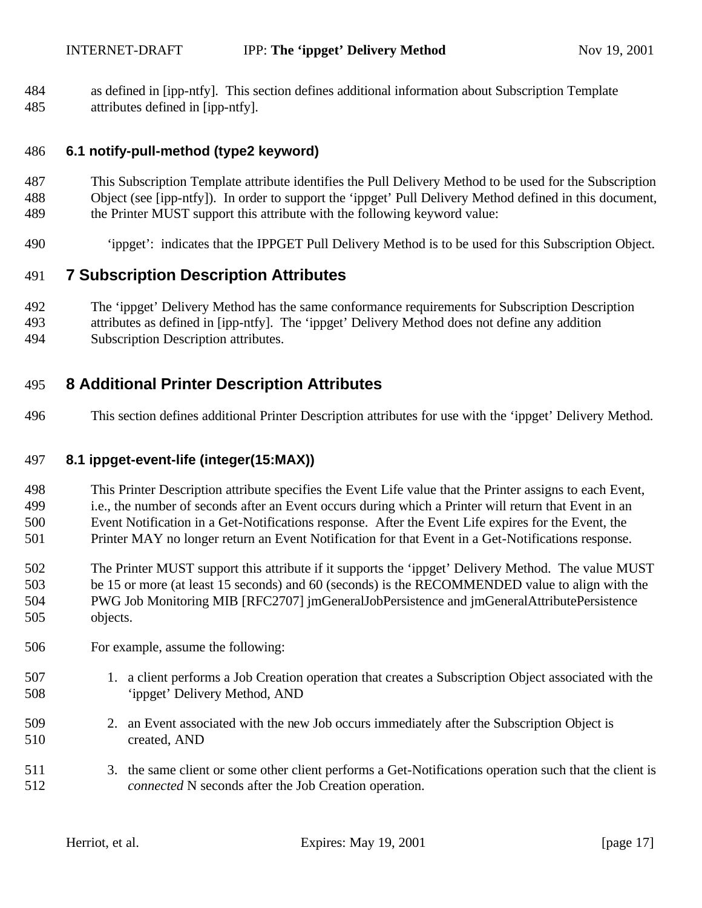as defined in [ipp-ntfy]. This section defines additional information about Subscription Template attributes defined in [ipp-ntfy].

### **6.1 notify-pull-method (type2 keyword)**

- This Subscription Template attribute identifies the Pull Delivery Method to be used for the Subscription Object (see [ipp-ntfy]). In order to support the 'ippget' Pull Delivery Method defined in this document, the Printer MUST support this attribute with the following keyword value:
- 'ippget': indicates that the IPPGET Pull Delivery Method is to be used for this Subscription Object.

## **7 Subscription Description Attributes**

- The 'ippget' Delivery Method has the same conformance requirements for Subscription Description attributes as defined in [ipp-ntfy]. The 'ippget' Delivery Method does not define any addition
- Subscription Description attributes.

# **8 Additional Printer Description Attributes**

This section defines additional Printer Description attributes for use with the 'ippget' Delivery Method.

### **8.1 ippget-event-life (integer(15:MAX))**

- This Printer Description attribute specifies the Event Life value that the Printer assigns to each Event, i.e., the number of seconds after an Event occurs during which a Printer will return that Event in an Event Notification in a Get-Notifications response. After the Event Life expires for the Event, the Printer MAY no longer return an Event Notification for that Event in a Get-Notifications response.
- The Printer MUST support this attribute if it supports the 'ippget' Delivery Method. The value MUST be 15 or more (at least 15 seconds) and 60 (seconds) is the RECOMMENDED value to align with the PWG Job Monitoring MIB [RFC2707] jmGeneralJobPersistence and jmGeneralAttributePersistence objects.
- For example, assume the following:
- 1. a client performs a Job Creation operation that creates a Subscription Object associated with the 'ippget' Delivery Method, AND
- 2. an Event associated with the new Job occurs immediately after the Subscription Object is created, AND
- 3. the same client or some other client performs a Get-Notifications operation such that the client is *connected* N seconds after the Job Creation operation.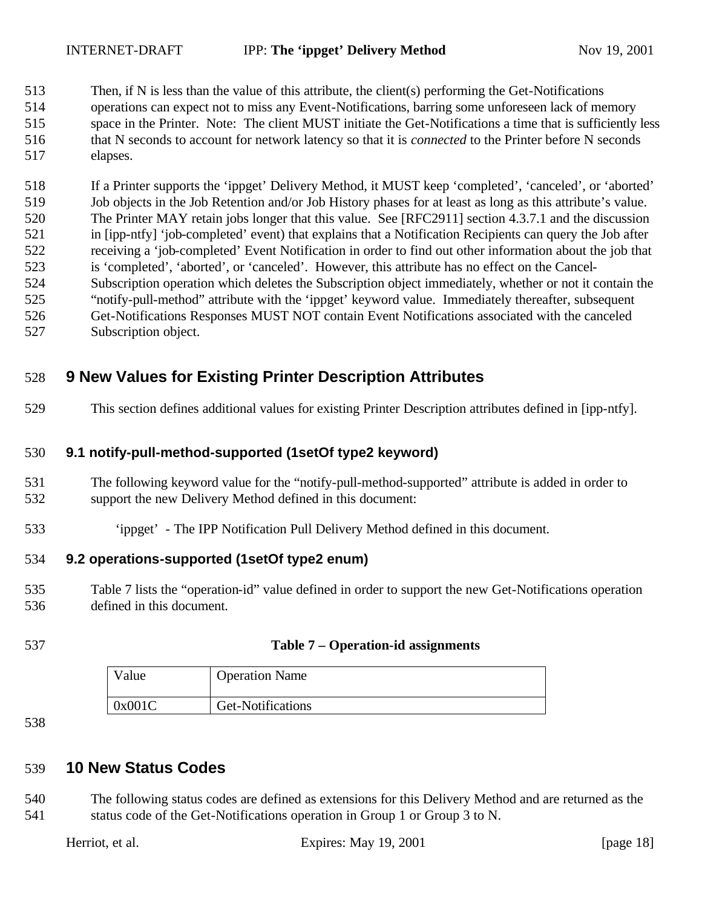513 Then, if N is less than the value of this attribute, the client(s) performing the Get-Notifications operations can expect not to miss any Event-Notifications, barring some unforeseen lack of memory space in the Printer. Note: The client MUST initiate the Get-Notifications a time that is sufficiently less that N seconds to account for network latency so that it is *connected* to the Printer before N seconds elapses.

 If a Printer supports the 'ippget' Delivery Method, it MUST keep 'completed', 'canceled', or 'aborted' Job objects in the Job Retention and/or Job History phases for at least as long as this attribute's value. The Printer MAY retain jobs longer that this value. See [RFC2911] section 4.3.7.1 and the discussion in [ipp-ntfy] 'job-completed' event) that explains that a Notification Recipients can query the Job after receiving a 'job-completed' Event Notification in order to find out other information about the job that is 'completed', 'aborted', or 'canceled'. However, this attribute has no effect on the Cancel- Subscription operation which deletes the Subscription object immediately, whether or not it contain the "notify-pull-method" attribute with the 'ippget' keyword value. Immediately thereafter, subsequent Get-Notifications Responses MUST NOT contain Event Notifications associated with the canceled Subscription object.

# **9 New Values for Existing Printer Description Attributes**

This section defines additional values for existing Printer Description attributes defined in [ipp-ntfy].

### **9.1 notify-pull-method-supported (1setOf type2 keyword)**

- The following keyword value for the "notify-pull-method-supported" attribute is added in order to support the new Delivery Method defined in this document:
- 'ippget' The IPP Notification Pull Delivery Method defined in this document.

#### **9.2 operations-supported (1setOf type2 enum)**

- Table 7 lists the "operation-id" value defined in order to support the new Get-Notifications operation defined in this document.
- 

#### **Table 7 – Operation-id assignments**

| Value  | <b>Operation Name</b> |
|--------|-----------------------|
| 0x001C | Get-Notifications     |

## **10 New Status Codes**

 The following status codes are defined as extensions for this Delivery Method and are returned as the status code of the Get-Notifications operation in Group 1 or Group 3 to N.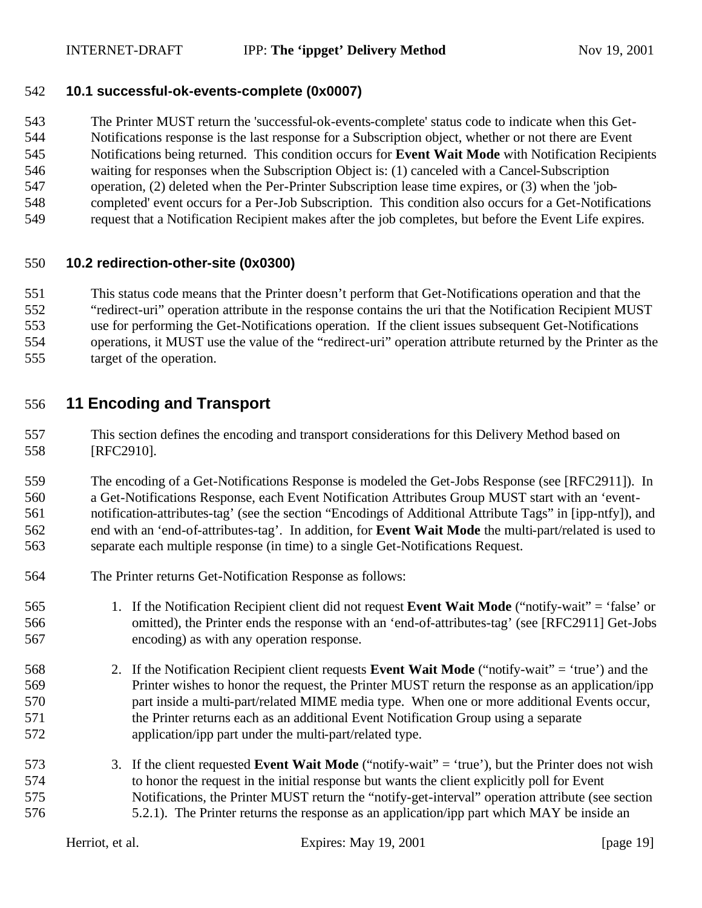#### **10.1 successful-ok-events-complete (0x0007)**

 The Printer MUST return the 'successful-ok-events-complete' status code to indicate when this Get- Notifications response is the last response for a Subscription object, whether or not there are Event Notifications being returned. This condition occurs for **Event Wait Mode** with Notification Recipients waiting for responses when the Subscription Object is: (1) canceled with a Cancel-Subscription operation, (2) deleted when the Per-Printer Subscription lease time expires, or (3) when the 'job- completed' event occurs for a Per-Job Subscription. This condition also occurs for a Get-Notifications request that a Notification Recipient makes after the job completes, but before the Event Life expires.

#### **10.2 redirection-other-site (0x0300)**

 This status code means that the Printer doesn't perform that Get-Notifications operation and that the "redirect-uri" operation attribute in the response contains the uri that the Notification Recipient MUST use for performing the Get-Notifications operation. If the client issues subsequent Get-Notifications operations, it MUST use the value of the "redirect-uri" operation attribute returned by the Printer as the target of the operation.

# **11 Encoding and Transport**

 This section defines the encoding and transport considerations for this Delivery Method based on [RFC2910].

 The encoding of a Get-Notifications Response is modeled the Get-Jobs Response (see [RFC2911]). In a Get-Notifications Response, each Event Notification Attributes Group MUST start with an 'event- notification-attributes-tag' (see the section "Encodings of Additional Attribute Tags" in [ipp-ntfy]), and end with an 'end-of-attributes-tag'. In addition, for **Event Wait Mode** the multi-part/related is used to separate each multiple response (in time) to a single Get-Notifications Request.

- The Printer returns Get-Notification Response as follows:
- 1. If the Notification Recipient client did not request **Event Wait Mode** ("notify-wait" = 'false' or omitted), the Printer ends the response with an 'end-of-attributes-tag' (see [RFC2911] Get-Jobs encoding) as with any operation response.
- 2. If the Notification Recipient client requests **Event Wait Mode** ("notify-wait" = 'true') and the Printer wishes to honor the request, the Printer MUST return the response as an application/ipp part inside a multi-part/related MIME media type. When one or more additional Events occur, the Printer returns each as an additional Event Notification Group using a separate application/ipp part under the multi-part/related type.
- 3. If the client requested **Event Wait Mode** ("notify-wait" = 'true'), but the Printer does not wish to honor the request in the initial response but wants the client explicitly poll for Event Notifications, the Printer MUST return the "notify-get-interval" operation attribute (see section 5.2.1). The Printer returns the response as an application/ipp part which MAY be inside an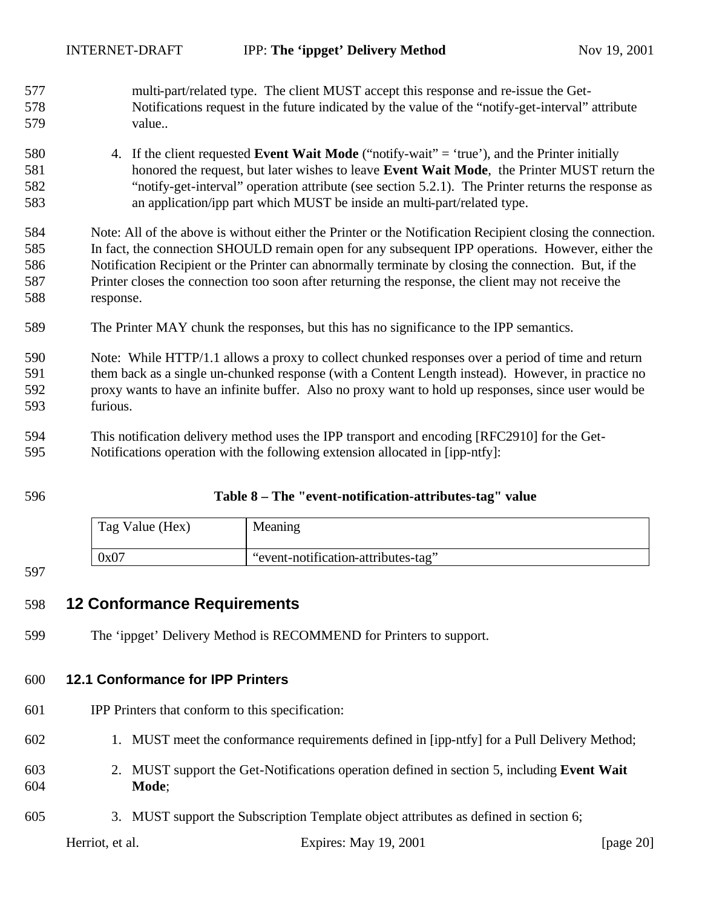multi-part/related type. The client MUST accept this response and re-issue the Get- Notifications request in the future indicated by the value of the "notify-get-interval" attribute value..

 4. If the client requested **Event Wait Mode** ("notify-wait" = 'true'), and the Printer initially honored the request, but later wishes to leave **Event Wait Mode**, the Printer MUST return the "notify-get-interval" operation attribute (see section 5.2.1). The Printer returns the response as an application/ipp part which MUST be inside an multi-part/related type.

 Note: All of the above is without either the Printer or the Notification Recipient closing the connection. In fact, the connection SHOULD remain open for any subsequent IPP operations. However, either the Notification Recipient or the Printer can abnormally terminate by closing the connection. But, if the Printer closes the connection too soon after returning the response, the client may not receive the response.

The Printer MAY chunk the responses, but this has no significance to the IPP semantics.

 Note: While HTTP/1.1 allows a proxy to collect chunked responses over a period of time and return them back as a single un-chunked response (with a Content Length instead). However, in practice no proxy wants to have an infinite buffer. Also no proxy want to hold up responses, since user would be furious.

 This notification delivery method uses the IPP transport and encoding [RFC2910] for the Get-Notifications operation with the following extension allocated in [ipp-ntfy]:

#### **Table 8 – The "event-notification-attributes-tag" value**

| Tag Value (Hex) | Meaning                             |
|-----------------|-------------------------------------|
| 0x07            | "event-notification-attributes-tag" |

#### 

#### **12 Conformance Requirements**

The 'ippget' Delivery Method is RECOMMEND for Printers to support.

#### **12.1 Conformance for IPP Printers**

- IPP Printers that conform to this specification:
- 1. MUST meet the conformance requirements defined in [ipp-ntfy] for a Pull Delivery Method;
- 2. MUST support the Get-Notifications operation defined in section 5, including **Event Wait Mode**;
- 3. MUST support the Subscription Template object attributes as defined in section 6;

Herriot, et al. Expires: May 19, 2001 [page 20]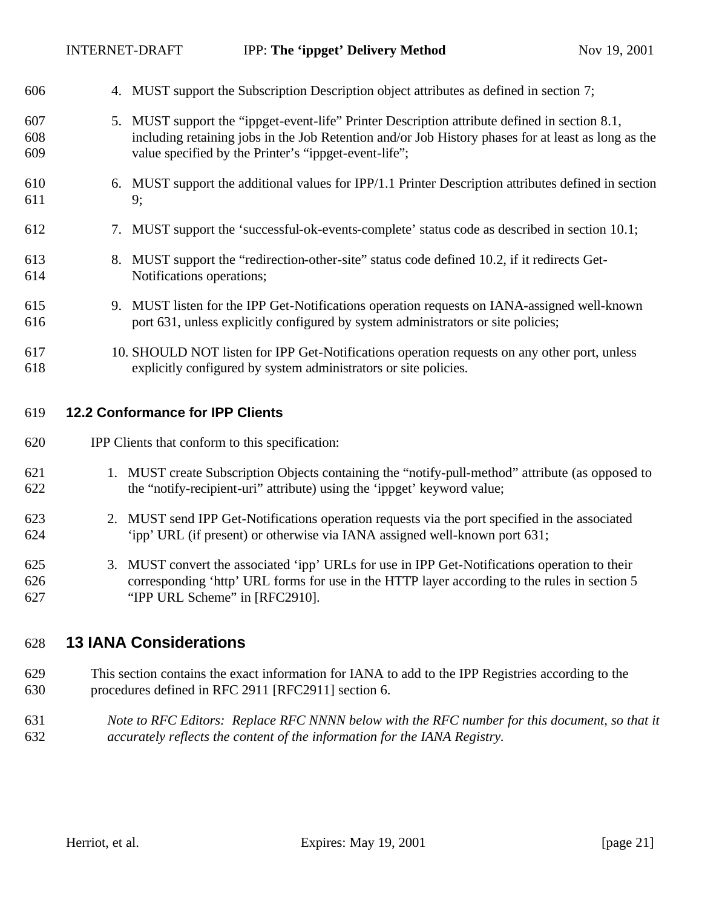| 606               | 4. MUST support the Subscription Description object attributes as defined in section 7;                                                                                                                                                                       |
|-------------------|---------------------------------------------------------------------------------------------------------------------------------------------------------------------------------------------------------------------------------------------------------------|
| 607<br>608<br>609 | 5. MUST support the "ippget-event-life" Printer Description attribute defined in section 8.1,<br>including retaining jobs in the Job Retention and/or Job History phases for at least as long as the<br>value specified by the Printer's "ippget-event-life"; |
| 610<br>611        | 6. MUST support the additional values for IPP/1.1 Printer Description attributes defined in section<br>9;                                                                                                                                                     |
| 612               | 7. MUST support the 'successful-ok-events-complete' status code as described in section 10.1;                                                                                                                                                                 |
| 613<br>614        | 8. MUST support the "redirection-other-site" status code defined 10.2, if it redirects Get-<br>Notifications operations;                                                                                                                                      |
| 615<br>616        | 9. MUST listen for the IPP Get-Notifications operation requests on IANA-assigned well-known<br>port 631, unless explicitly configured by system administrators or site policies;                                                                              |
| 617<br>618        | 10. SHOULD NOT listen for IPP Get-Notifications operation requests on any other port, unless<br>explicitly configured by system administrators or site policies.                                                                                              |
| 619               | <b>12.2 Conformance for IPP Clients</b>                                                                                                                                                                                                                       |
| 620               | IPP Clients that conform to this specification:                                                                                                                                                                                                               |
| 621<br>622        | 1. MUST create Subscription Objects containing the "notify-pull-method" attribute (as opposed to<br>the "notify-recipient-uri" attribute) using the 'ippget' keyword value;                                                                                   |
| 623<br>624        | 2. MUST send IPP Get-Notifications operation requests via the port specified in the associated<br>'ipp' URL (if present) or otherwise via IANA assigned well-known port 631;                                                                                  |
| 625<br>626<br>627 | 3. MUST convert the associated 'ipp' URLs for use in IPP Get-Notifications operation to their<br>corresponding 'http' URL forms for use in the HTTP layer according to the rules in section 5<br>"IPP URL Scheme" in [RFC2910].                               |

# **13 IANA Considerations**

- This section contains the exact information for IANA to add to the IPP Registries according to the procedures defined in RFC 2911 [RFC2911] section 6.
- *Note to RFC Editors: Replace RFC NNNN below with the RFC number for this document, so that it accurately reflects the content of the information for the IANA Registry.*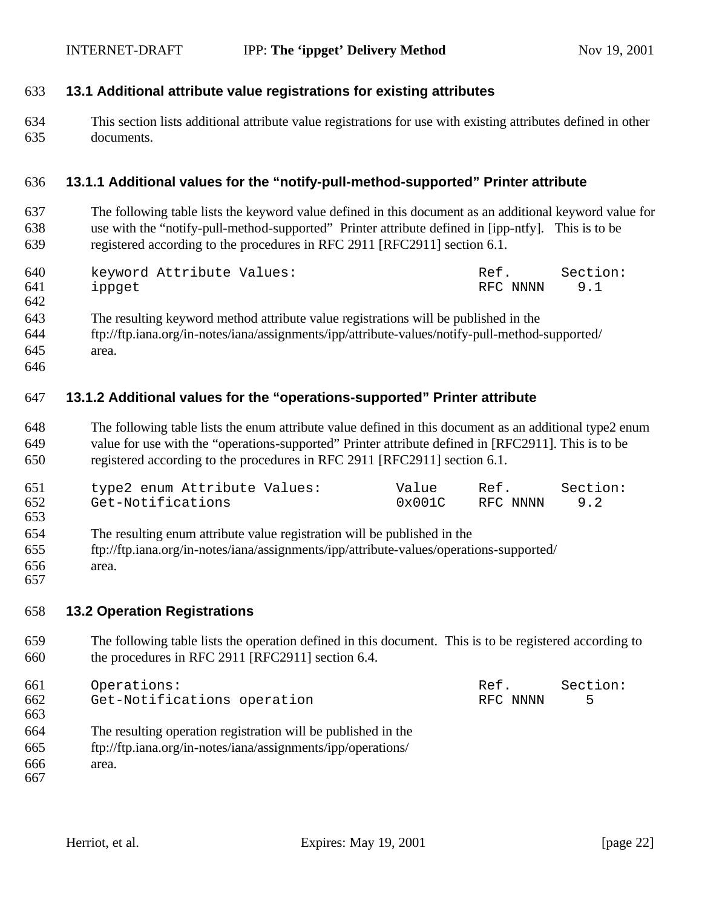### **13.1 Additional attribute value registrations for existing attributes**

 This section lists additional attribute value registrations for use with existing attributes defined in other documents.

#### **13.1.1 Additional values for the "notify-pull-method-supported" Printer attribute**

 The following table lists the keyword value defined in this document as an additional keyword value for use with the "notify-pull-method-supported" Printer attribute defined in [ipp-ntfy]. This is to be registered according to the procedures in RFC 2911 [RFC2911] section 6.1.

| 640<br>641      | keyword Attribute Values:<br>ippget |  | Ref. |  |  |  | RFC NNNN | Section:<br>9.1 |  |  |  |
|-----------------|-------------------------------------|--|------|--|--|--|----------|-----------------|--|--|--|
| 642             |                                     |  |      |  |  |  |          |                 |  |  |  |
| $\sim$ 1 $\sim$ |                                     |  |      |  |  |  |          |                 |  |  |  |

- The resulting keyword method attribute value registrations will be published in the
- ftp://ftp.iana.org/in-notes/iana/assignments/ipp/attribute-values/notify-pull-method-supported/ area.
- 

#### **13.1.2 Additional values for the "operations-supported" Printer attribute**

 The following table lists the enum attribute value defined in this document as an additional type2 enum value for use with the "operations-supported" Printer attribute defined in [RFC2911]. This is to be registered according to the procedures in RFC 2911 [RFC2911] section 6.1.

| 651 | type2 enum Attribute Values: | Value  | Ref.         | Section: |
|-----|------------------------------|--------|--------------|----------|
| 652 | Get-Notifications            | 0x001C | RFC NNNN 9.2 |          |

- The resulting enum attribute value registration will be published in the ftp://ftp.iana.org/in-notes/iana/assignments/ipp/attribute-values/operations-supported/ area.
- 

#### **13.2 Operation Registrations**

 The following table lists the operation defined in this document. This is to be registered according to the procedures in RFC 2911 [RFC2911] section 6.4.

| 661        | Operations:                                                   | Ref.     | Section: |
|------------|---------------------------------------------------------------|----------|----------|
| 662<br>663 | Get-Notifications operation                                   | RFC NNNN | 5        |
| 664        | The resulting operation registration will be published in the |          |          |
| 665        | ftp://ftp.iana.org/in-notes/iana/assignments/ipp/operations/  |          |          |
| 666<br>667 | area.                                                         |          |          |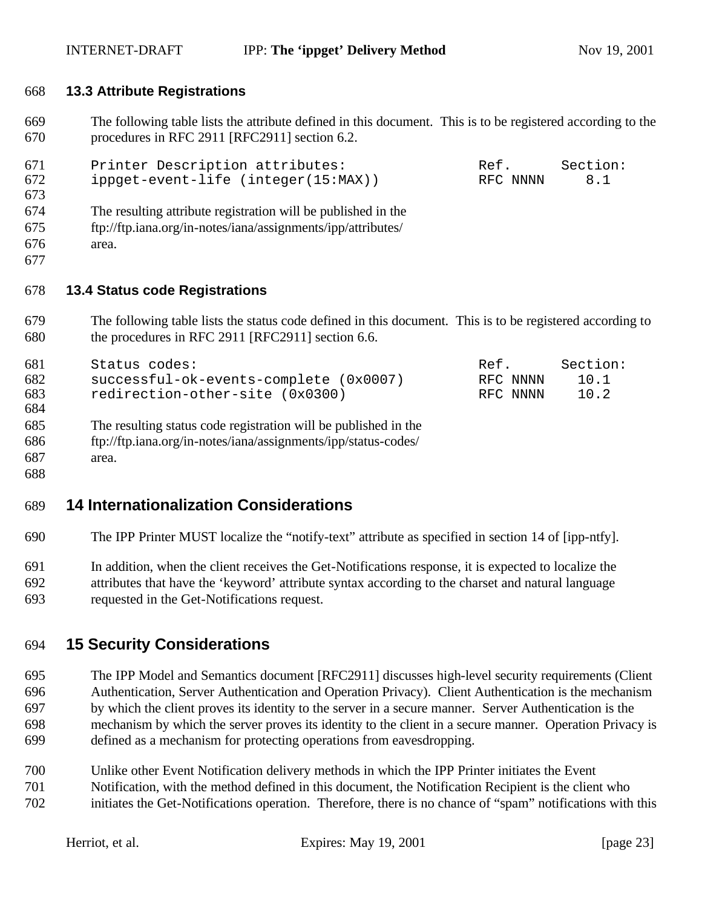#### **13.3 Attribute Registrations**

 The following table lists the attribute defined in this document. This is to be registered according to the procedures in RFC 2911 [RFC2911] section 6.2.

| 671<br>672<br>673 | Printer Description attributes:<br>ippget-event-life (integer(15:MAX)) | Ref.<br>RFC NNNN | Section:<br>8.1 |
|-------------------|------------------------------------------------------------------------|------------------|-----------------|
| 674               | The resulting attribute registration will be published in the          |                  |                 |
| 675               | ftp://ftp.iana.org/in-notes/iana/assignments/ipp/attributes/           |                  |                 |
| 676               | area.                                                                  |                  |                 |
| 677               |                                                                        |                  |                 |

#### **13.4 Status code Registrations**

 The following table lists the status code defined in this document. This is to be registered according to the procedures in RFC 2911 [RFC2911] section 6.6.

| 681<br>682<br>683<br>684 | Status codes:<br>successful-ok-events-complete (0x0007)<br>redirection-other-site (0x0300) | Ref.<br>RFC NNNN<br>RFC NNNN | Section:<br>10.1<br>10.2 |
|--------------------------|--------------------------------------------------------------------------------------------|------------------------------|--------------------------|
| 685                      | The resulting status code registration will be published in the                            |                              |                          |
| 686                      | ftp://ftp.iana.org/in-notes/iana/assignments/ipp/status-codes/                             |                              |                          |
| 687                      | area.                                                                                      |                              |                          |
| 688                      |                                                                                            |                              |                          |

# **14 Internationalization Considerations**

The IPP Printer MUST localize the "notify-text" attribute as specified in section 14 of [ipp-ntfy].

 In addition, when the client receives the Get-Notifications response, it is expected to localize the attributes that have the 'keyword' attribute syntax according to the charset and natural language requested in the Get-Notifications request.

# **15 Security Considerations**

- The IPP Model and Semantics document [RFC2911] discusses high-level security requirements (Client Authentication, Server Authentication and Operation Privacy). Client Authentication is the mechanism by which the client proves its identity to the server in a secure manner. Server Authentication is the mechanism by which the server proves its identity to the client in a secure manner. Operation Privacy is defined as a mechanism for protecting operations from eavesdropping.
- Unlike other Event Notification delivery methods in which the IPP Printer initiates the Event Notification, with the method defined in this document, the Notification Recipient is the client who
- initiates the Get-Notifications operation. Therefore, there is no chance of "spam" notifications with this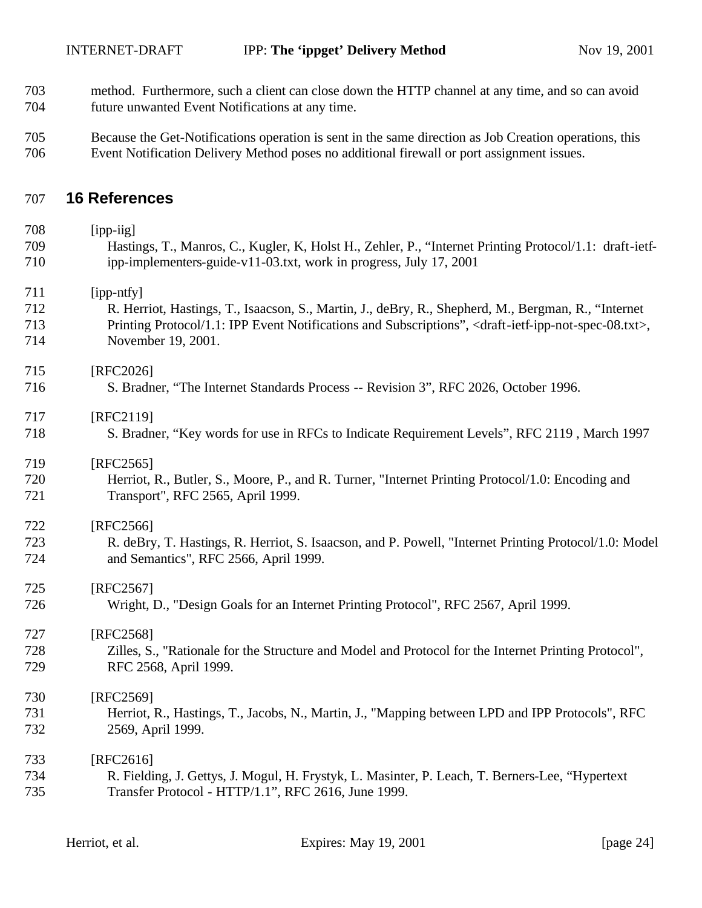- method. Furthermore, such a client can close down the HTTP channel at any time, and so can avoid future unwanted Event Notifications at any time.
- Because the Get-Notifications operation is sent in the same direction as Job Creation operations, this Event Notification Delivery Method poses no additional firewall or port assignment issues.

# **16 References**

| 708 | [ipp-iig]                                                                                                                             |
|-----|---------------------------------------------------------------------------------------------------------------------------------------|
| 709 | Hastings, T., Manros, C., Kugler, K, Holst H., Zehler, P., "Internet Printing Protocol/1.1: draft-ietf-                               |
| 710 | ipp-implementers-guide-v11-03.txt, work in progress, July 17, 2001                                                                    |
| 711 | [ipp-ntfy]                                                                                                                            |
| 712 | R. Herriot, Hastings, T., Isaacson, S., Martin, J., deBry, R., Shepherd, M., Bergman, R., "Internet                                   |
| 713 | Printing Protocol/1.1: IPP Event Notifications and Subscriptions", <draft-ietf-ipp-not-spec-08.txt>,</draft-ietf-ipp-not-spec-08.txt> |
| 714 | November 19, 2001.                                                                                                                    |
| 715 | [RFC2026]                                                                                                                             |
| 716 | S. Bradner, "The Internet Standards Process -- Revision 3", RFC 2026, October 1996.                                                   |
| 717 | [RFC2119]                                                                                                                             |
| 718 | S. Bradner, "Key words for use in RFCs to Indicate Requirement Levels", RFC 2119, March 1997                                          |
| 719 | [RFC2565]                                                                                                                             |
| 720 | Herriot, R., Butler, S., Moore, P., and R. Turner, "Internet Printing Protocol/1.0: Encoding and                                      |
| 721 | Transport", RFC 2565, April 1999.                                                                                                     |
| 722 | [RFC2566]                                                                                                                             |
| 723 | R. deBry, T. Hastings, R. Herriot, S. Isaacson, and P. Powell, "Internet Printing Protocol/1.0: Model                                 |
| 724 | and Semantics", RFC 2566, April 1999.                                                                                                 |
| 725 | [RFC2567]                                                                                                                             |
| 726 | Wright, D., "Design Goals for an Internet Printing Protocol", RFC 2567, April 1999.                                                   |
| 727 | [RFC2568]                                                                                                                             |
| 728 | Zilles, S., "Rationale for the Structure and Model and Protocol for the Internet Printing Protocol",                                  |
| 729 | RFC 2568, April 1999.                                                                                                                 |
| 730 | [RFC2569]                                                                                                                             |
| 731 | Herriot, R., Hastings, T., Jacobs, N., Martin, J., "Mapping between LPD and IPP Protocols", RFC                                       |
| 732 | 2569, April 1999.                                                                                                                     |
| 733 | [RFC2616]                                                                                                                             |
| 734 | R. Fielding, J. Gettys, J. Mogul, H. Frystyk, L. Masinter, P. Leach, T. Berners-Lee, "Hypertext                                       |
| 735 | Transfer Protocol - HTTP/1.1", RFC 2616, June 1999.                                                                                   |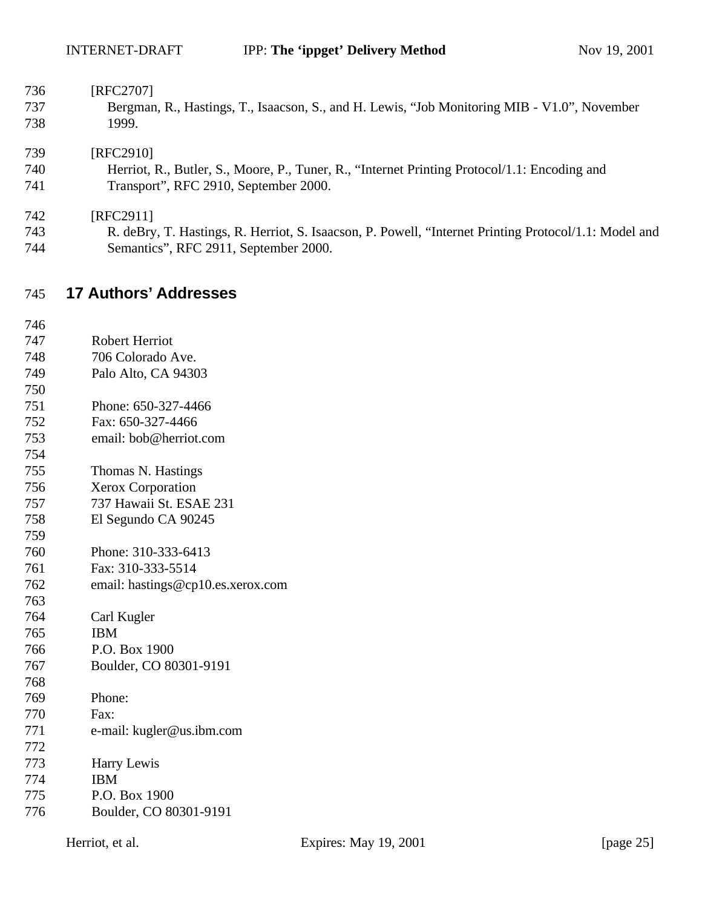| [RFC2707]<br>736 |  |
|------------------|--|
|------------------|--|

 Bergman, R., Hastings, T., Isaacson, S., and H. Lewis, "Job Monitoring MIB - V1.0", November 1999.

#### [RFC2910]

 Herriot, R., Butler, S., Moore, P., Tuner, R., "Internet Printing Protocol/1.1: Encoding and Transport", RFC 2910, September 2000.

[RFC2911]

 R. deBry, T. Hastings, R. Herriot, S. Isaacson, P. Powell, "Internet Printing Protocol/1.1: Model and Semantics", RFC 2911, September 2000.

## **17 Authors' Addresses**

 Robert Herriot 706 Colorado Ave. Palo Alto, CA 94303 Phone: 650-327-4466 Fax: 650-327-4466 email: bob@herriot.com Thomas N. Hastings Xerox Corporation 737 Hawaii St. ESAE 231 El Segundo CA 90245 Phone: 310-333-6413 Fax: 310-333-5514 email: hastings@cp10.es.xerox.com Carl Kugler IBM P.O. Box 1900 Boulder, CO 80301-9191 Phone: Fax: e-mail: kugler@us.ibm.com

 Harry Lewis IBM P.O. Box 1900 Boulder, CO 80301-9191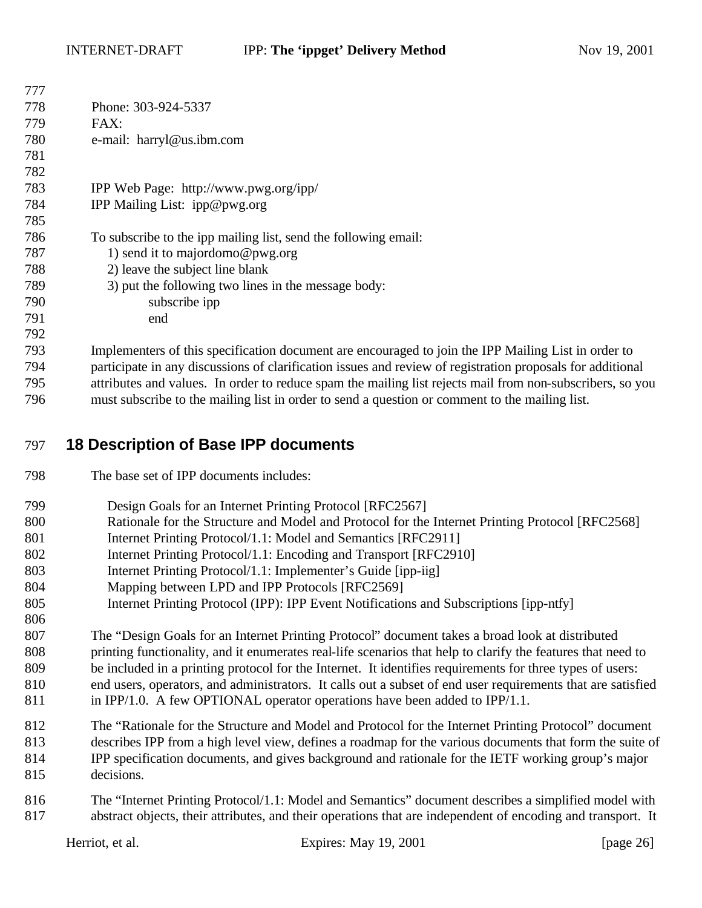| 777 |                                                                                                            |
|-----|------------------------------------------------------------------------------------------------------------|
| 778 | Phone: 303-924-5337                                                                                        |
| 779 | FAX:                                                                                                       |
| 780 | e-mail: harryl@us.ibm.com                                                                                  |
| 781 |                                                                                                            |
| 782 |                                                                                                            |
| 783 | IPP Web Page: http://www.pwg.org/ipp/                                                                      |
| 784 | IPP Mailing List: ipp@pwg.org                                                                              |
| 785 |                                                                                                            |
| 786 | To subscribe to the ipp mailing list, send the following email:                                            |
| 787 | 1) send it to majordomo@pwg.org                                                                            |
| 788 | 2) leave the subject line blank                                                                            |
| 789 | 3) put the following two lines in the message body:                                                        |
| 790 | subscribe ipp                                                                                              |
| 791 | end                                                                                                        |
| 792 |                                                                                                            |
| 793 | Implementers of this specification document are encouraged to join the IPP Mailing List in order to        |
| 794 | participate in any discussions of clarification issues and review of registration proposals for additional |
| 795 | attributes and values. In order to reduce spam the mailing list rejects mail from non-subscribers, so you  |
| 796 | must subscribe to the mailing list in order to send a question or comment to the mailing list.             |

## **18 Description of Base IPP documents**

- The base set of IPP documents includes:
- Design Goals for an Internet Printing Protocol [RFC2567]
- Rationale for the Structure and Model and Protocol for the Internet Printing Protocol [RFC2568]
- Internet Printing Protocol/1.1: Model and Semantics [RFC2911]
- Internet Printing Protocol/1.1: Encoding and Transport [RFC2910]
- Internet Printing Protocol/1.1: Implementer's Guide [ipp-iig]
- Mapping between LPD and IPP Protocols [RFC2569]
- Internet Printing Protocol (IPP): IPP Event Notifications and Subscriptions [ipp-ntfy]
- The "Design Goals for an Internet Printing Protocol" document takes a broad look at distributed printing functionality, and it enumerates real-life scenarios that help to clarify the features that need to be included in a printing protocol for the Internet. It identifies requirements for three types of users: end users, operators, and administrators. It calls out a subset of end user requirements that are satisfied in IPP/1.0. A few OPTIONAL operator operations have been added to IPP/1.1.
- The "Rationale for the Structure and Model and Protocol for the Internet Printing Protocol" document describes IPP from a high level view, defines a roadmap for the various documents that form the suite of IPP specification documents, and gives background and rationale for the IETF working group's major decisions.
- The "Internet Printing Protocol/1.1: Model and Semantics" document describes a simplified model with abstract objects, their attributes, and their operations that are independent of encoding and transport. It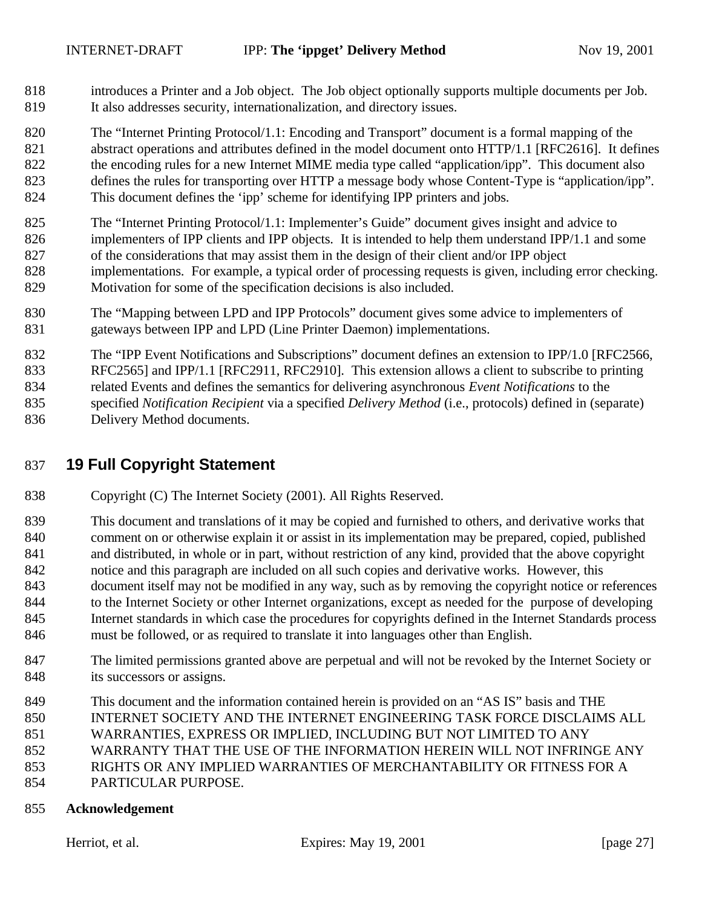introduces a Printer and a Job object. The Job object optionally supports multiple documents per Job. It also addresses security, internationalization, and directory issues.

 The "Internet Printing Protocol/1.1: Encoding and Transport" document is a formal mapping of the abstract operations and attributes defined in the model document onto HTTP/1.1 [RFC2616]. It defines the encoding rules for a new Internet MIME media type called "application/ipp". This document also defines the rules for transporting over HTTP a message body whose Content-Type is "application/ipp". This document defines the 'ipp' scheme for identifying IPP printers and jobs.

- The "Internet Printing Protocol/1.1: Implementer's Guide" document gives insight and advice to implementers of IPP clients and IPP objects. It is intended to help them understand IPP/1.1 and some of the considerations that may assist them in the design of their client and/or IPP object implementations. For example, a typical order of processing requests is given, including error checking.
- Motivation for some of the specification decisions is also included.
- The "Mapping between LPD and IPP Protocols" document gives some advice to implementers of gateways between IPP and LPD (Line Printer Daemon) implementations.
- The "IPP Event Notifications and Subscriptions" document defines an extension to IPP/1.0 [RFC2566, RFC2565] and IPP/1.1 [RFC2911, RFC2910]. This extension allows a client to subscribe to printing related Events and defines the semantics for delivering asynchronous *Event Notifications* to the specified *Notification Recipient* via a specified *Delivery Method* (i.e., protocols) defined in (separate) Delivery Method documents.

# **19 Full Copyright Statement**

- Copyright (C) The Internet Society (2001). All Rights Reserved.
- This document and translations of it may be copied and furnished to others, and derivative works that comment on or otherwise explain it or assist in its implementation may be prepared, copied, published and distributed, in whole or in part, without restriction of any kind, provided that the above copyright notice and this paragraph are included on all such copies and derivative works. However, this document itself may not be modified in any way, such as by removing the copyright notice or references to the Internet Society or other Internet organizations, except as needed for the purpose of developing Internet standards in which case the procedures for copyrights defined in the Internet Standards process must be followed, or as required to translate it into languages other than English.
- The limited permissions granted above are perpetual and will not be revoked by the Internet Society or 848 its successors or assigns.
- This document and the information contained herein is provided on an "AS IS" basis and THE
- INTERNET SOCIETY AND THE INTERNET ENGINEERING TASK FORCE DISCLAIMS ALL
- WARRANTIES, EXPRESS OR IMPLIED, INCLUDING BUT NOT LIMITED TO ANY
- WARRANTY THAT THE USE OF THE INFORMATION HEREIN WILL NOT INFRINGE ANY
- RIGHTS OR ANY IMPLIED WARRANTIES OF MERCHANTABILITY OR FITNESS FOR A
- PARTICULAR PURPOSE.

#### **Acknowledgement**